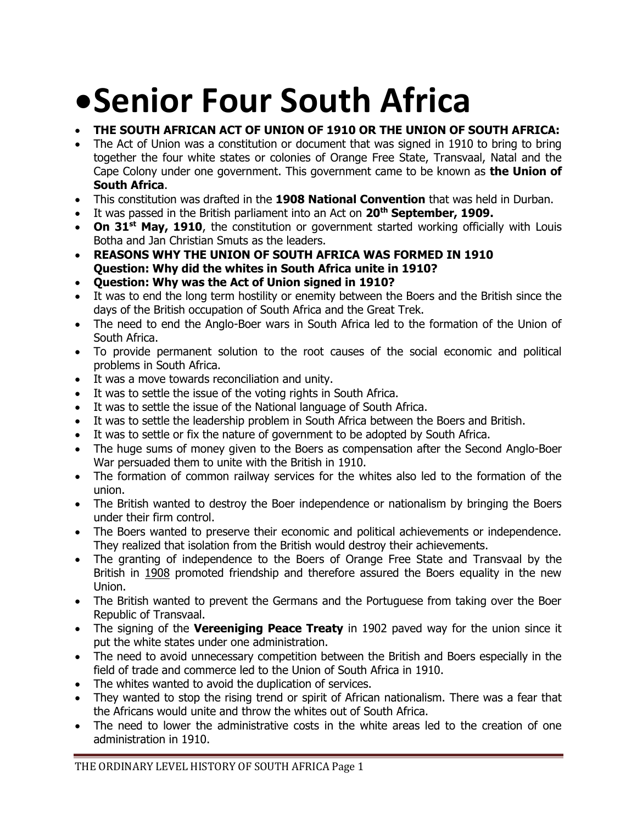# **• Senior Four South Africa**

## **THE SOUTH AFRICAN ACT OF UNION OF 1910 OR THE UNION OF SOUTH AFRICA:**

- The Act of Union was a constitution or document that was signed in 1910 to bring to bring together the four white states or colonies of Orange Free State, Transvaal, Natal and the Cape Colony under one government. This government came to be known as **the Union of South Africa**.
- This constitution was drafted in the **1908 National Convention** that was held in Durban.
- It was passed in the British parliament into an Act on **20th September, 1909.**
- On 31<sup>st</sup> May, 1910, the constitution or government started working officially with Louis Botha and Jan Christian Smuts as the leaders.
- **REASONS WHY THE UNION OF SOUTH AFRICA WAS FORMED IN 1910 Question: Why did the whites in South Africa unite in 1910?**
- **Question: Why was the Act of Union signed in 1910?**
- It was to end the long term hostility or enemity between the Boers and the British since the days of the British occupation of South Africa and the Great Trek.
- The need to end the Anglo-Boer wars in South Africa led to the formation of the Union of South Africa.
- To provide permanent solution to the root causes of the social economic and political problems in South Africa.
- It was a move towards reconciliation and unity.
- It was to settle the issue of the voting rights in South Africa.
- It was to settle the issue of the National language of South Africa.
- It was to settle the leadership problem in South Africa between the Boers and British.
- It was to settle or fix the nature of government to be adopted by South Africa.
- The huge sums of money given to the Boers as compensation after the Second Anglo-Boer War persuaded them to unite with the British in 1910.
- The formation of common railway services for the whites also led to the formation of the union.
- The British wanted to destroy the Boer independence or nationalism by bringing the Boers under their firm control.
- The Boers wanted to preserve their economic and political achievements or independence. They realized that isolation from the British would destroy their achievements.
- The granting of independence to the Boers of Orange Free State and Transvaal by the British in 1908 promoted friendship and therefore assured the Boers equality in the new Union.
- The British wanted to prevent the Germans and the Portuguese from taking over the Boer Republic of Transvaal.
- The signing of the **Vereeniging Peace Treaty** in 1902 paved way for the union since it put the white states under one administration.
- The need to avoid unnecessary competition between the British and Boers especially in the field of trade and commerce led to the Union of South Africa in 1910.
- The whites wanted to avoid the duplication of services.
- They wanted to stop the rising trend or spirit of African nationalism. There was a fear that the Africans would unite and throw the whites out of South Africa.
- The need to lower the administrative costs in the white areas led to the creation of one administration in 1910.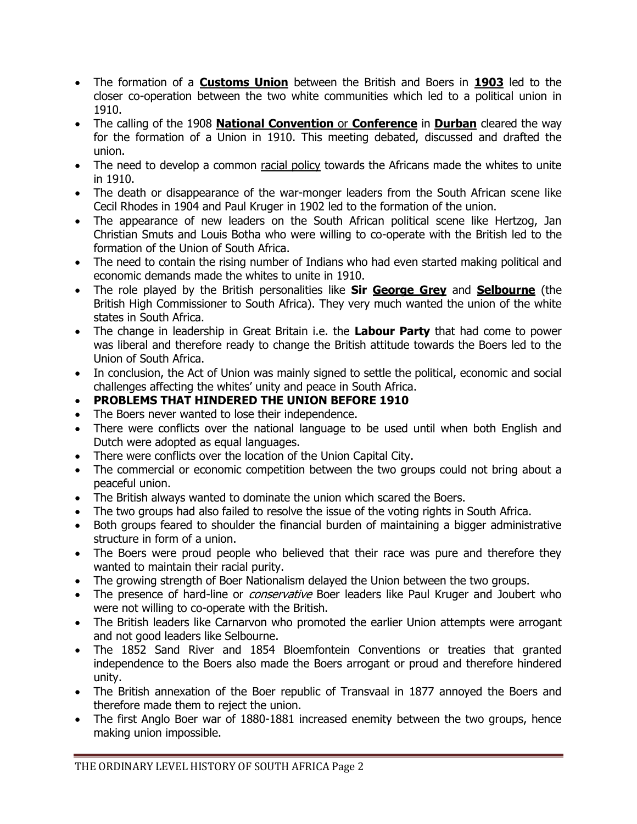- The formation of a **Customs Union** between the British and Boers in **1903** led to the closer co-operation between the two white communities which led to a political union in 1910.
- The calling of the 1908 **National Convention** or **Conference** in **Durban** cleared the way for the formation of a Union in 1910. This meeting debated, discussed and drafted the union.
- The need to develop a common racial policy towards the Africans made the whites to unite in 1910.
- The death or disappearance of the war-monger leaders from the South African scene like Cecil Rhodes in 1904 and Paul Kruger in 1902 led to the formation of the union.
- The appearance of new leaders on the South African political scene like Hertzog, Jan Christian Smuts and Louis Botha who were willing to co-operate with the British led to the formation of the Union of South Africa.
- The need to contain the rising number of Indians who had even started making political and economic demands made the whites to unite in 1910.
- The role played by the British personalities like **Sir George Grey** and **Selbourne** (the British High Commissioner to South Africa). They very much wanted the union of the white states in South Africa.
- The change in leadership in Great Britain i.e. the **Labour Party** that had come to power was liberal and therefore ready to change the British attitude towards the Boers led to the Union of South Africa.
- In conclusion, the Act of Union was mainly signed to settle the political, economic and social challenges affecting the whites' unity and peace in South Africa.
- **PROBLEMS THAT HINDERED THE UNION BEFORE 1910**
- The Boers never wanted to lose their independence.
- There were conflicts over the national language to be used until when both English and Dutch were adopted as equal languages.
- There were conflicts over the location of the Union Capital City.
- The commercial or economic competition between the two groups could not bring about a peaceful union.
- The British always wanted to dominate the union which scared the Boers.
- The two groups had also failed to resolve the issue of the voting rights in South Africa.
- Both groups feared to shoulder the financial burden of maintaining a bigger administrative structure in form of a union.
- The Boers were proud people who believed that their race was pure and therefore they wanted to maintain their racial purity.
- The growing strength of Boer Nationalism delayed the Union between the two groups.
- The presence of hard-line or *conservative* Boer leaders like Paul Kruger and Joubert who were not willing to co-operate with the British.
- The British leaders like Carnarvon who promoted the earlier Union attempts were arrogant and not good leaders like Selbourne.
- The 1852 Sand River and 1854 Bloemfontein Conventions or treaties that granted independence to the Boers also made the Boers arrogant or proud and therefore hindered unity.
- The British annexation of the Boer republic of Transvaal in 1877 annoyed the Boers and therefore made them to reject the union.
- The first Anglo Boer war of 1880-1881 increased enemity between the two groups, hence making union impossible.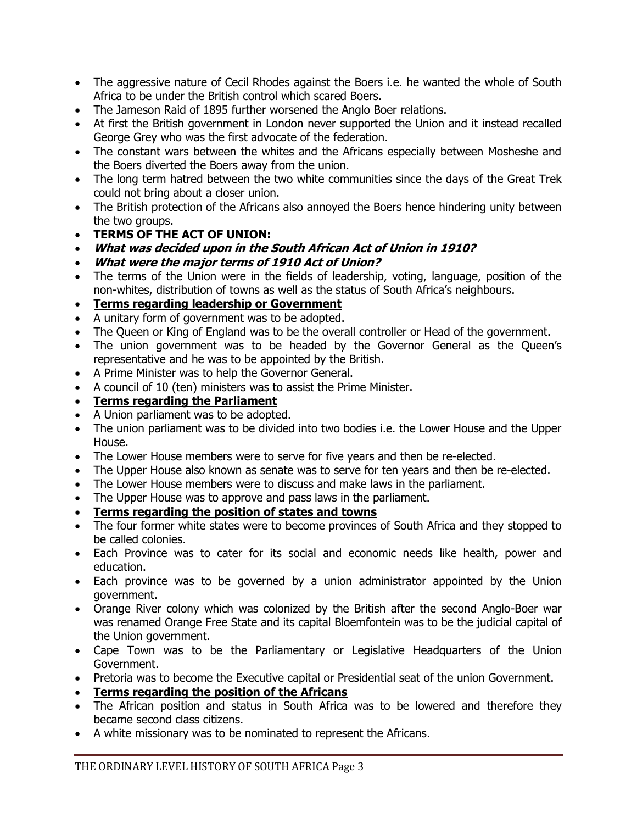- The aggressive nature of Cecil Rhodes against the Boers i.e. he wanted the whole of South Africa to be under the British control which scared Boers.
- The Jameson Raid of 1895 further worsened the Anglo Boer relations.
- At first the British government in London never supported the Union and it instead recalled George Grey who was the first advocate of the federation.
- The constant wars between the whites and the Africans especially between Mosheshe and the Boers diverted the Boers away from the union.
- The long term hatred between the two white communities since the days of the Great Trek could not bring about a closer union.
- The British protection of the Africans also annoyed the Boers hence hindering unity between the two groups.
- **TERMS OF THE ACT OF UNION:**
- **What was decided upon in the South African Act of Union in 1910?**
- **What were the major terms of 1910 Act of Union?**
- The terms of the Union were in the fields of leadership, voting, language, position of the non-whites, distribution of towns as well as the status of South Africa's neighbours.
- **Terms regarding leadership or Government**
- A unitary form of government was to be adopted.
- The Queen or King of England was to be the overall controller or Head of the government.
- The union government was to be headed by the Governor General as the Queen's representative and he was to be appointed by the British.
- A Prime Minister was to help the Governor General.
- A council of 10 (ten) ministers was to assist the Prime Minister.
- **Terms regarding the Parliament**
- A Union parliament was to be adopted.
- The union parliament was to be divided into two bodies i.e. the Lower House and the Upper House.
- The Lower House members were to serve for five years and then be re-elected.
- The Upper House also known as senate was to serve for ten years and then be re-elected.
- The Lower House members were to discuss and make laws in the parliament.
- The Upper House was to approve and pass laws in the parliament.
- **Terms regarding the position of states and towns**
- The four former white states were to become provinces of South Africa and they stopped to be called colonies.
- Each Province was to cater for its social and economic needs like health, power and education.
- Each province was to be governed by a union administrator appointed by the Union government.
- Orange River colony which was colonized by the British after the second Anglo-Boer war was renamed Orange Free State and its capital Bloemfontein was to be the judicial capital of the Union government.
- Cape Town was to be the Parliamentary or Legislative Headquarters of the Union Government.
- Pretoria was to become the Executive capital or Presidential seat of the union Government.
- **Terms regarding the position of the Africans**
- The African position and status in South Africa was to be lowered and therefore they became second class citizens.
- A white missionary was to be nominated to represent the Africans.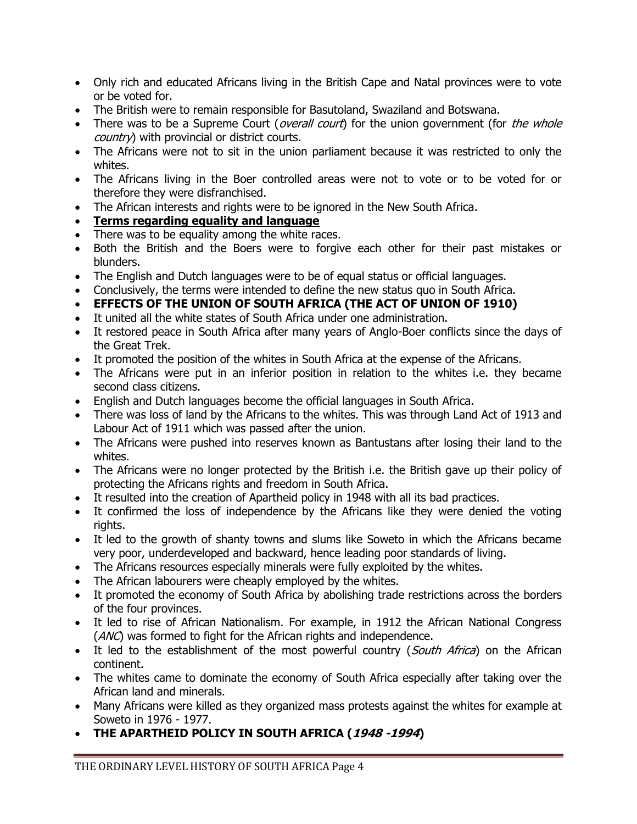- Only rich and educated Africans living in the British Cape and Natal provinces were to vote or be voted for.
- The British were to remain responsible for Basutoland, Swaziland and Botswana.
- There was to be a Supreme Court (overall court) for the union government (for the whole country) with provincial or district courts.
- The Africans were not to sit in the union parliament because it was restricted to only the whites.
- The Africans living in the Boer controlled areas were not to vote or to be voted for or therefore they were disfranchised.
- The African interests and rights were to be ignored in the New South Africa.
- **Terms regarding equality and language**
- There was to be equality among the white races.
- Both the British and the Boers were to forgive each other for their past mistakes or blunders.
- The English and Dutch languages were to be of equal status or official languages.
- Conclusively, the terms were intended to define the new status quo in South Africa.
- **EFFECTS OF THE UNION OF SOUTH AFRICA (THE ACT OF UNION OF 1910)**
- It united all the white states of South Africa under one administration.
- It restored peace in South Africa after many years of Anglo-Boer conflicts since the days of the Great Trek.
- It promoted the position of the whites in South Africa at the expense of the Africans.
- The Africans were put in an inferior position in relation to the whites i.e. they became second class citizens.
- English and Dutch languages become the official languages in South Africa.
- There was loss of land by the Africans to the whites. This was through Land Act of 1913 and Labour Act of 1911 which was passed after the union.
- The Africans were pushed into reserves known as Bantustans after losing their land to the whites.
- The Africans were no longer protected by the British i.e. the British gave up their policy of protecting the Africans rights and freedom in South Africa.
- It resulted into the creation of Apartheid policy in 1948 with all its bad practices.
- It confirmed the loss of independence by the Africans like they were denied the voting rights.
- It led to the growth of shanty towns and slums like Soweto in which the Africans became very poor, underdeveloped and backward, hence leading poor standards of living.
- The Africans resources especially minerals were fully exploited by the whites.
- The African labourers were cheaply employed by the whites.
- It promoted the economy of South Africa by abolishing trade restrictions across the borders of the four provinces.
- It led to rise of African Nationalism. For example, in 1912 the African National Congress (ANC) was formed to fight for the African rights and independence.
- It led to the establishment of the most powerful country (South Africa) on the African continent.
- The whites came to dominate the economy of South Africa especially after taking over the African land and minerals.
- Many Africans were killed as they organized mass protests against the whites for example at Soweto in 1976 - 1977.
- **THE APARTHEID POLICY IN SOUTH AFRICA (1948 -1994)**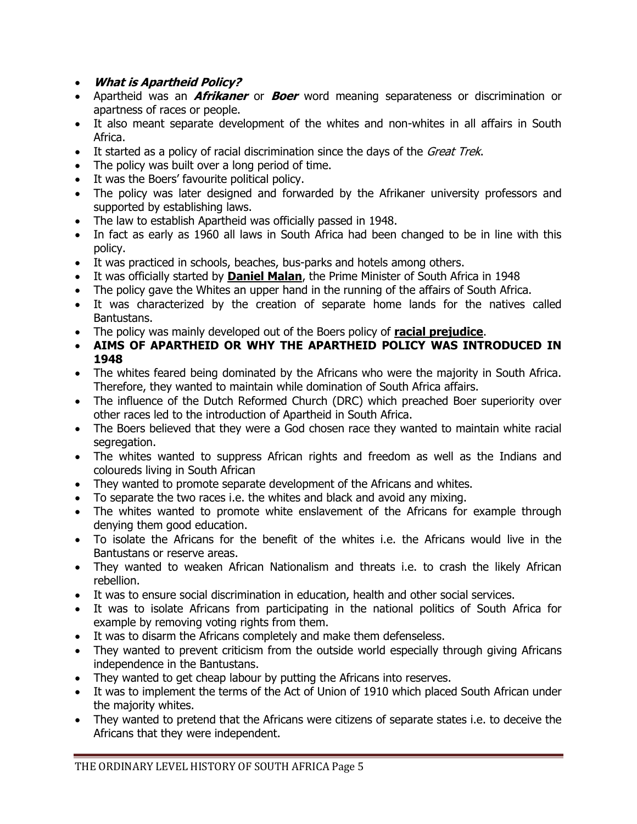- **What is Apartheid Policy?**
- Apartheid was an **Afrikaner** or **Boer** word meaning separateness or discrimination or apartness of races or people.
- It also meant separate development of the whites and non-whites in all affairs in South Africa.
- It started as a policy of racial discrimination since the days of the *Great Trek*.
- The policy was built over a long period of time.
- It was the Boers' favourite political policy.
- The policy was later designed and forwarded by the Afrikaner university professors and supported by establishing laws.
- The law to establish Apartheid was officially passed in 1948.
- In fact as early as 1960 all laws in South Africa had been changed to be in line with this policy.
- It was practiced in schools, beaches, bus-parks and hotels among others.
- It was officially started by **Daniel Malan**, the Prime Minister of South Africa in 1948
- The policy gave the Whites an upper hand in the running of the affairs of South Africa.
- It was characterized by the creation of separate home lands for the natives called Bantustans.
- The policy was mainly developed out of the Boers policy of **racial prejudice**.
- **AIMS OF APARTHEID OR WHY THE APARTHEID POLICY WAS INTRODUCED IN 1948**
- The whites feared being dominated by the Africans who were the majority in South Africa. Therefore, they wanted to maintain while domination of South Africa affairs.
- The influence of the Dutch Reformed Church (DRC) which preached Boer superiority over other races led to the introduction of Apartheid in South Africa.
- The Boers believed that they were a God chosen race they wanted to maintain white racial segregation.
- The whites wanted to suppress African rights and freedom as well as the Indians and coloureds living in South African
- They wanted to promote separate development of the Africans and whites.
- To separate the two races i.e. the whites and black and avoid any mixing.
- The whites wanted to promote white enslavement of the Africans for example through denying them good education.
- To isolate the Africans for the benefit of the whites i.e. the Africans would live in the Bantustans or reserve areas.
- They wanted to weaken African Nationalism and threats i.e. to crash the likely African rebellion.
- It was to ensure social discrimination in education, health and other social services.
- It was to isolate Africans from participating in the national politics of South Africa for example by removing voting rights from them.
- It was to disarm the Africans completely and make them defenseless.
- They wanted to prevent criticism from the outside world especially through giving Africans independence in the Bantustans.
- They wanted to get cheap labour by putting the Africans into reserves.
- It was to implement the terms of the Act of Union of 1910 which placed South African under the majority whites.
- They wanted to pretend that the Africans were citizens of separate states i.e. to deceive the Africans that they were independent.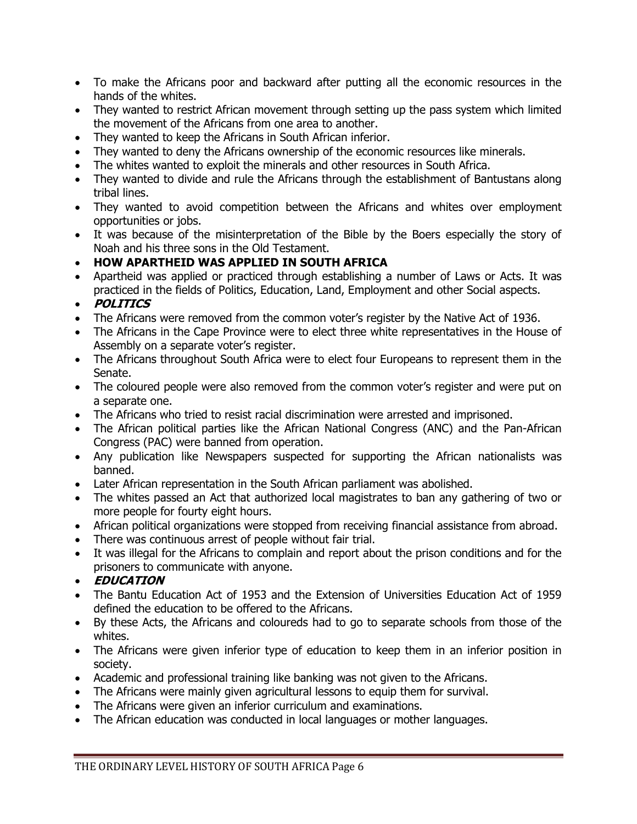- To make the Africans poor and backward after putting all the economic resources in the hands of the whites.
- They wanted to restrict African movement through setting up the pass system which limited the movement of the Africans from one area to another.
- They wanted to keep the Africans in South African inferior.
- They wanted to deny the Africans ownership of the economic resources like minerals.
- The whites wanted to exploit the minerals and other resources in South Africa.
- They wanted to divide and rule the Africans through the establishment of Bantustans along tribal lines.
- They wanted to avoid competition between the Africans and whites over employment opportunities or jobs.
- It was because of the misinterpretation of the Bible by the Boers especially the story of Noah and his three sons in the Old Testament.
- **HOW APARTHEID WAS APPLIED IN SOUTH AFRICA**
- Apartheid was applied or practiced through establishing a number of Laws or Acts. It was practiced in the fields of Politics, Education, Land, Employment and other Social aspects.
- **POLITICS**
- The Africans were removed from the common voter's register by the Native Act of 1936.
- The Africans in the Cape Province were to elect three white representatives in the House of Assembly on a separate voter's register.
- The Africans throughout South Africa were to elect four Europeans to represent them in the Senate.
- The coloured people were also removed from the common voter's register and were put on a separate one.
- The Africans who tried to resist racial discrimination were arrested and imprisoned.
- The African political parties like the African National Congress (ANC) and the Pan-African Congress (PAC) were banned from operation.
- Any publication like Newspapers suspected for supporting the African nationalists was banned.
- Later African representation in the South African parliament was abolished.
- The whites passed an Act that authorized local magistrates to ban any gathering of two or more people for fourty eight hours.
- African political organizations were stopped from receiving financial assistance from abroad.
- There was continuous arrest of people without fair trial.
- It was illegal for the Africans to complain and report about the prison conditions and for the prisoners to communicate with anyone.
- **EDUCATION**
- The Bantu Education Act of 1953 and the Extension of Universities Education Act of 1959 defined the education to be offered to the Africans.
- By these Acts, the Africans and coloureds had to go to separate schools from those of the whites.
- The Africans were given inferior type of education to keep them in an inferior position in society.
- Academic and professional training like banking was not given to the Africans.
- The Africans were mainly given agricultural lessons to equip them for survival.
- The Africans were given an inferior curriculum and examinations.
- The African education was conducted in local languages or mother languages.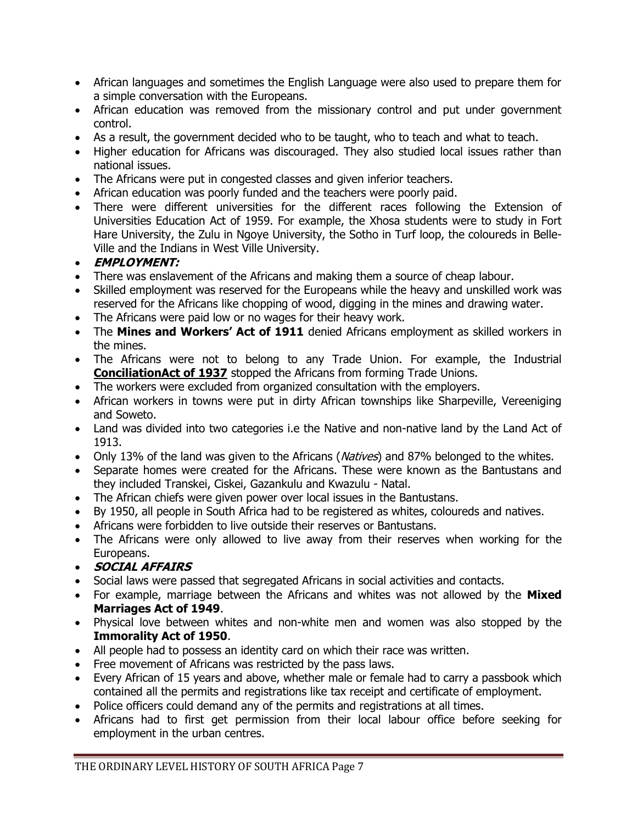- African languages and sometimes the English Language were also used to prepare them for a simple conversation with the Europeans.
- African education was removed from the missionary control and put under government control.
- As a result, the government decided who to be taught, who to teach and what to teach.
- Higher education for Africans was discouraged. They also studied local issues rather than national issues.
- The Africans were put in congested classes and given inferior teachers.
- African education was poorly funded and the teachers were poorly paid.
- There were different universities for the different races following the Extension of Universities Education Act of 1959. For example, the Xhosa students were to study in Fort Hare University, the Zulu in Ngoye University, the Sotho in Turf loop, the coloureds in Belle-Ville and the Indians in West Ville University.

### **EMPLOYMENT:**

- There was enslavement of the Africans and making them a source of cheap labour.
- Skilled employment was reserved for the Europeans while the heavy and unskilled work was reserved for the Africans like chopping of wood, digging in the mines and drawing water.
- The Africans were paid low or no wages for their heavy work.
- The **Mines and Workers' Act of 1911** denied Africans employment as skilled workers in the mines.
- The Africans were not to belong to any Trade Union. For example, the Industrial **ConciliationAct of 1937** stopped the Africans from forming Trade Unions.
- The workers were excluded from organized consultation with the employers.
- African workers in towns were put in dirty African townships like Sharpeville, Vereeniging and Soweto.
- Land was divided into two categories i.e the Native and non-native land by the Land Act of 1913.
- Only 13% of the land was given to the Africans (Natives) and 87% belonged to the whites.
- Separate homes were created for the Africans. These were known as the Bantustans and they included Transkei, Ciskei, Gazankulu and Kwazulu - Natal.
- The African chiefs were given power over local issues in the Bantustans.
- By 1950, all people in South Africa had to be registered as whites, coloureds and natives.
- Africans were forbidden to live outside their reserves or Bantustans.
- The Africans were only allowed to live away from their reserves when working for the Europeans.
- **SOCIAL AFFAIRS**
- Social laws were passed that segregated Africans in social activities and contacts.
- For example, marriage between the Africans and whites was not allowed by the **Mixed Marriages Act of 1949**.
- Physical love between whites and non-white men and women was also stopped by the **Immorality Act of 1950**.
- All people had to possess an identity card on which their race was written.
- Free movement of Africans was restricted by the pass laws.
- Every African of 15 years and above, whether male or female had to carry a passbook which contained all the permits and registrations like tax receipt and certificate of employment.
- Police officers could demand any of the permits and registrations at all times.
- Africans had to first get permission from their local labour office before seeking for employment in the urban centres.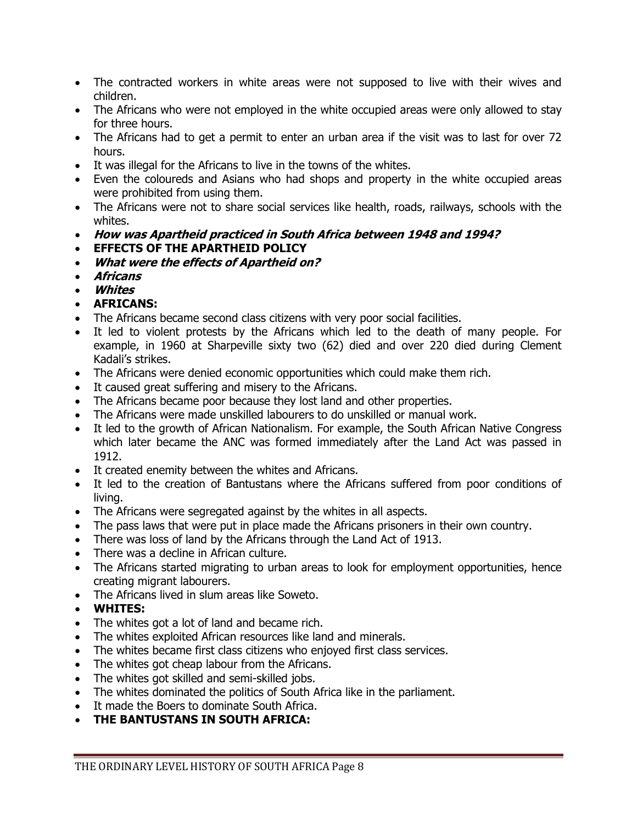- The contracted workers in white areas were not supposed to live with their wives and children.
- The Africans who were not employed in the white occupied areas were only allowed to stay for three hours.
- The Africans had to get a permit to enter an urban area if the visit was to last for over 72 hours.
- It was illegal for the Africans to live in the towns of the whites.
- Even the coloureds and Asians who had shops and property in the white occupied areas were prohibited from using them.
- The Africans were not to share social services like health, roads, railways, schools with the whites.
- **How was Apartheid practiced in South Africa between 1948 and 1994?**
- **EFFECTS OF THE APARTHEID POLICY**
- **What were the effects of Apartheid on?**
- **Africans**
- **Whites**
- **AFRICANS:**
- The Africans became second class citizens with very poor social facilities.
- It led to violent protests by the Africans which led to the death of many people. For example, in 1960 at Sharpeville sixty two (62) died and over 220 died during Clement Kadali's strikes.
- The Africans were denied economic opportunities which could make them rich.
- It caused great suffering and misery to the Africans.
- The Africans became poor because they lost land and other properties.
- The Africans were made unskilled labourers to do unskilled or manual work.
- It led to the growth of African Nationalism. For example, the South African Native Congress which later became the ANC was formed immediately after the Land Act was passed in 1912.
- It created enemity between the whites and Africans.
- It led to the creation of Bantustans where the Africans suffered from poor conditions of living.
- The Africans were segregated against by the whites in all aspects.
- The pass laws that were put in place made the Africans prisoners in their own country.
- There was loss of land by the Africans through the Land Act of 1913.
- There was a decline in African culture.
- The Africans started migrating to urban areas to look for employment opportunities, hence creating migrant labourers.
- The Africans lived in slum areas like Soweto.
- **WHITES:**
- The whites got a lot of land and became rich.
- The whites exploited African resources like land and minerals.
- The whites became first class citizens who enjoyed first class services.
- The whites got cheap labour from the Africans.
- The whites got skilled and semi-skilled jobs.
- The whites dominated the politics of South Africa like in the parliament.
- It made the Boers to dominate South Africa.
- **THE BANTUSTANS IN SOUTH AFRICA:**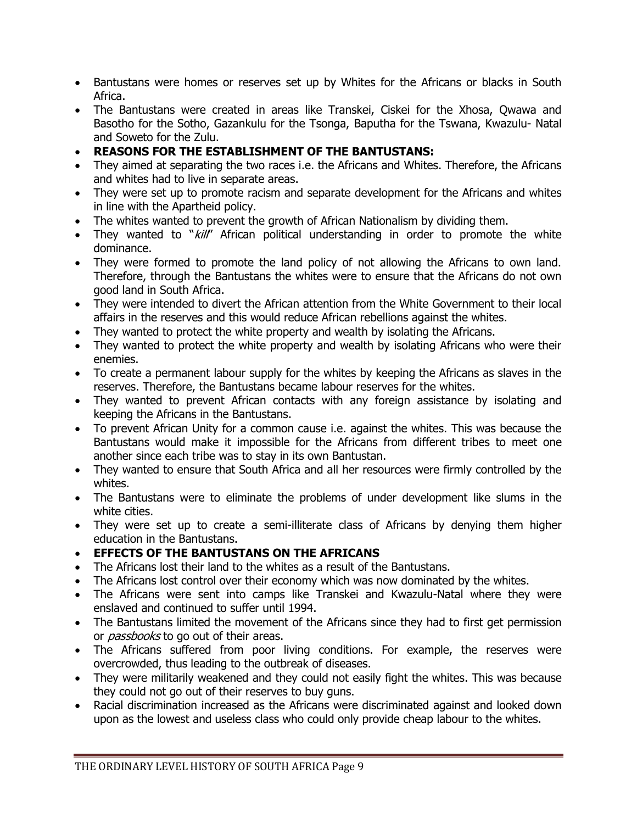- Bantustans were homes or reserves set up by Whites for the Africans or blacks in South Africa.
- The Bantustans were created in areas like Transkei, Ciskei for the Xhosa, Qwawa and Basotho for the Sotho, Gazankulu for the Tsonga, Baputha for the Tswana, Kwazulu- Natal and Soweto for the Zulu.
- **REASONS FOR THE ESTABLISHMENT OF THE BANTUSTANS:**
- They aimed at separating the two races i.e. the Africans and Whites. Therefore, the Africans and whites had to live in separate areas.
- They were set up to promote racism and separate development for the Africans and whites in line with the Apartheid policy.
- The whites wanted to prevent the growth of African Nationalism by dividing them.
- They wanted to "kill" African political understanding in order to promote the white dominance.
- They were formed to promote the land policy of not allowing the Africans to own land. Therefore, through the Bantustans the whites were to ensure that the Africans do not own good land in South Africa.
- They were intended to divert the African attention from the White Government to their local affairs in the reserves and this would reduce African rebellions against the whites.
- They wanted to protect the white property and wealth by isolating the Africans.
- They wanted to protect the white property and wealth by isolating Africans who were their enemies.
- To create a permanent labour supply for the whites by keeping the Africans as slaves in the reserves. Therefore, the Bantustans became labour reserves for the whites.
- They wanted to prevent African contacts with any foreign assistance by isolating and keeping the Africans in the Bantustans.
- To prevent African Unity for a common cause i.e. against the whites. This was because the Bantustans would make it impossible for the Africans from different tribes to meet one another since each tribe was to stay in its own Bantustan.
- They wanted to ensure that South Africa and all her resources were firmly controlled by the whites.
- The Bantustans were to eliminate the problems of under development like slums in the white cities.
- They were set up to create a semi-illiterate class of Africans by denying them higher education in the Bantustans.

#### **EFFECTS OF THE BANTUSTANS ON THE AFRICANS**

- The Africans lost their land to the whites as a result of the Bantustans.
- The Africans lost control over their economy which was now dominated by the whites.
- The Africans were sent into camps like Transkei and Kwazulu-Natal where they were enslaved and continued to suffer until 1994.
- The Bantustans limited the movement of the Africans since they had to first get permission or *passbooks* to go out of their areas.
- The Africans suffered from poor living conditions. For example, the reserves were overcrowded, thus leading to the outbreak of diseases.
- They were militarily weakened and they could not easily fight the whites. This was because they could not go out of their reserves to buy guns.
- Racial discrimination increased as the Africans were discriminated against and looked down upon as the lowest and useless class who could only provide cheap labour to the whites.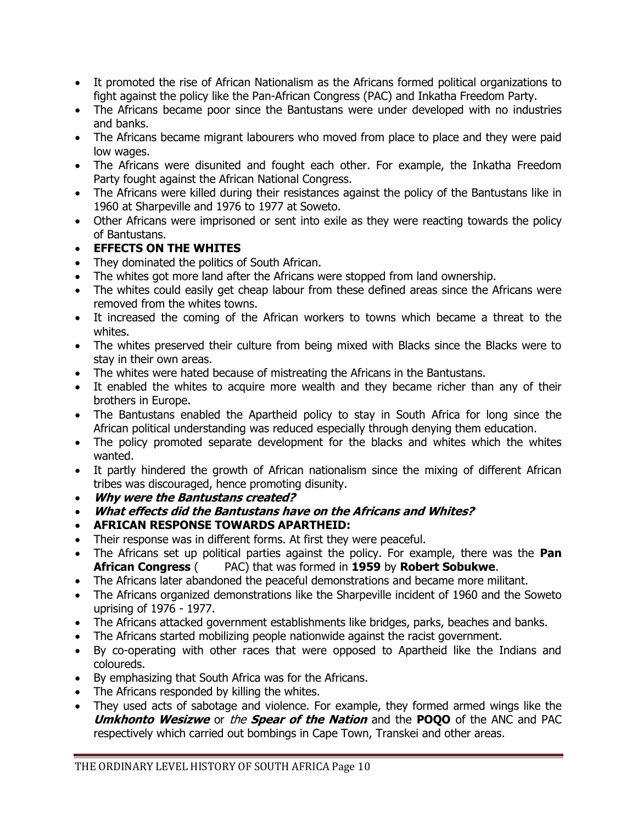- It promoted the rise of African Nationalism as the Africans formed political organizations to fight against the policy like the Pan-African Congress (PAC) and Inkatha Freedom Party.
- The Africans became poor since the Bantustans were under developed with no industries and banks.
- The Africans became migrant labourers who moved from place to place and they were paid low wages.
- The Africans were disunited and fought each other. For example, the Inkatha Freedom Party fought against the African National Congress.
- The Africans were killed during their resistances against the policy of the Bantustans like in 1960 at Sharpeville and 1976 to 1977 at Soweto.
- Other Africans were imprisoned or sent into exile as they were reacting towards the policy of Bantustans.

### **EFFECTS ON THE WHITES**

- They dominated the politics of South African.
- The whites got more land after the Africans were stopped from land ownership.
- The whites could easily get cheap labour from these defined areas since the Africans were removed from the whites towns.
- It increased the coming of the African workers to towns which became a threat to the whites.
- The whites preserved their culture from being mixed with Blacks since the Blacks were to stay in their own areas.
- The whites were hated because of mistreating the Africans in the Bantustans.
- It enabled the whites to acquire more wealth and they became richer than any of their brothers in Europe.
- The Bantustans enabled the Apartheid policy to stay in South Africa for long since the African political understanding was reduced especially through denying them education.
- The policy promoted separate development for the blacks and whites which the whites wanted.
- It partly hindered the growth of African nationalism since the mixing of different African tribes was discouraged, hence promoting disunity.
- **Why were the Bantustans created?**
- **What effects did the Bantustans have on the Africans and Whites?**
- **AFRICAN RESPONSE TOWARDS APARTHEID:**
- Their response was in different forms. At first they were peaceful.
- The Africans set up political parties against the policy. For example, there was the **Pan African Congress** ( PAC) that was formed in **1959** by **Robert Sobukwe**.
- The Africans later abandoned the peaceful demonstrations and became more militant.
- The Africans organized demonstrations like the Sharpeville incident of 1960 and the Soweto uprising of 1976 - 1977.
- The Africans attacked government establishments like bridges, parks, beaches and banks.
- The Africans started mobilizing people nationwide against the racist government.
- By co-operating with other races that were opposed to Apartheid like the Indians and coloureds.
- By emphasizing that South Africa was for the Africans.
- The Africans responded by killing the whites.
- They used acts of sabotage and violence. For example, they formed armed wings like the **Umkhonto Wesizwe** or the **Spear of the Nation** and the **POQO** of the ANC and PAC respectively which carried out bombings in Cape Town, Transkei and other areas.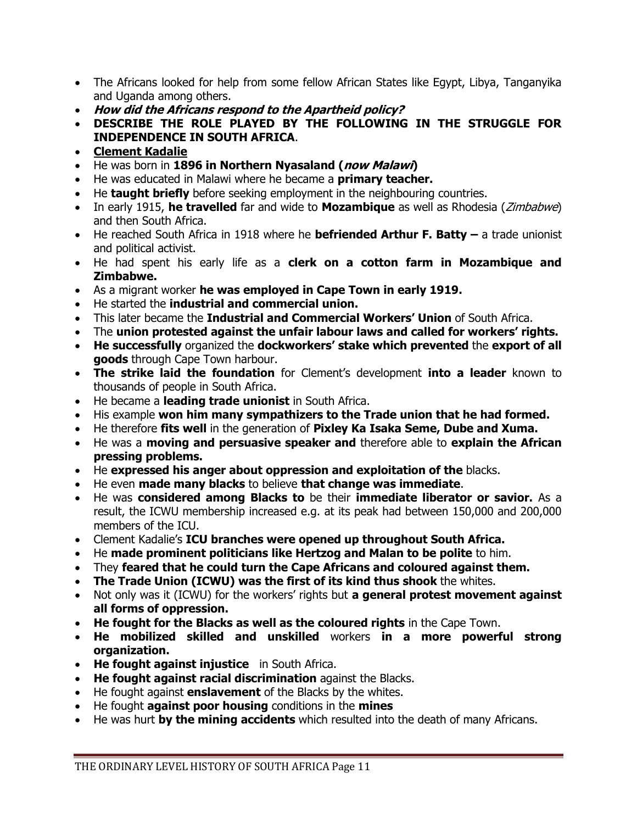- The Africans looked for help from some fellow African States like Egypt, Libya, Tanganyika and Uganda among others.
- **How did the Africans respond to the Apartheid policy?**
- **DESCRIBE THE ROLE PLAYED BY THE FOLLOWING IN THE STRUGGLE FOR INDEPENDENCE IN SOUTH AFRICA**.
- **Clement Kadalie**
- He was born in **1896 in Northern Nyasaland (now Malawi)**
- He was educated in Malawi where he became a **primary teacher.**
- He **taught briefly** before seeking employment in the neighbouring countries.
- In early 1915, **he travelled** far and wide to **Mozambique** as well as Rhodesia (Zimbabwe) and then South Africa.
- He reached South Africa in 1918 where he **befriended Arthur F. Batty –** a trade unionist and political activist.
- He had spent his early life as a **clerk on a cotton farm in Mozambique and Zimbabwe.**
- As a migrant worker **he was employed in Cape Town in early 1919.**
- He started the **industrial and commercial union.**
- This later became the **Industrial and Commercial Workers' Union** of South Africa.
- The **union protested against the unfair labour laws and called for workers' rights.**
- **He successfully** organized the **dockworkers' stake which prevented** the **export of all goods** through Cape Town harbour.
- **The strike laid the foundation** for Clement's development **into a leader** known to thousands of people in South Africa.
- He became a **leading trade unionist** in South Africa.
- His example **won him many sympathizers to the Trade union that he had formed.**
- He therefore **fits well** in the generation of **Pixley Ka Isaka Seme, Dube and Xuma.**
- He was a **moving and persuasive speaker and** therefore able to **explain the African pressing problems.**
- He **expressed his anger about oppression and exploitation of the** blacks.
- He even **made many blacks** to believe **that change was immediate**.
- He was **considered among Blacks to** be their **immediate liberator or savior.** As a result, the ICWU membership increased e.g. at its peak had between 150,000 and 200,000 members of the ICU.
- Clement Kadalie's **ICU branches were opened up throughout South Africa.**
- He **made prominent politicians like Hertzog and Malan to be polite** to him.
- They **feared that he could turn the Cape Africans and coloured against them.**
- **The Trade Union (ICWU) was the first of its kind thus shook** the whites.
- Not only was it (ICWU) for the workers' rights but **a general protest movement against all forms of oppression.**
- **He fought for the Blacks as well as the coloured rights** in the Cape Town.
- **He mobilized skilled and unskilled** workers **in a more powerful strong organization.**
- **He fought against injustice** in South Africa.
- **He fought against racial discrimination** against the Blacks.
- He fought against **enslavement** of the Blacks by the whites.
- He fought **against poor housing** conditions in the **mines**
- He was hurt **by the mining accidents** which resulted into the death of many Africans.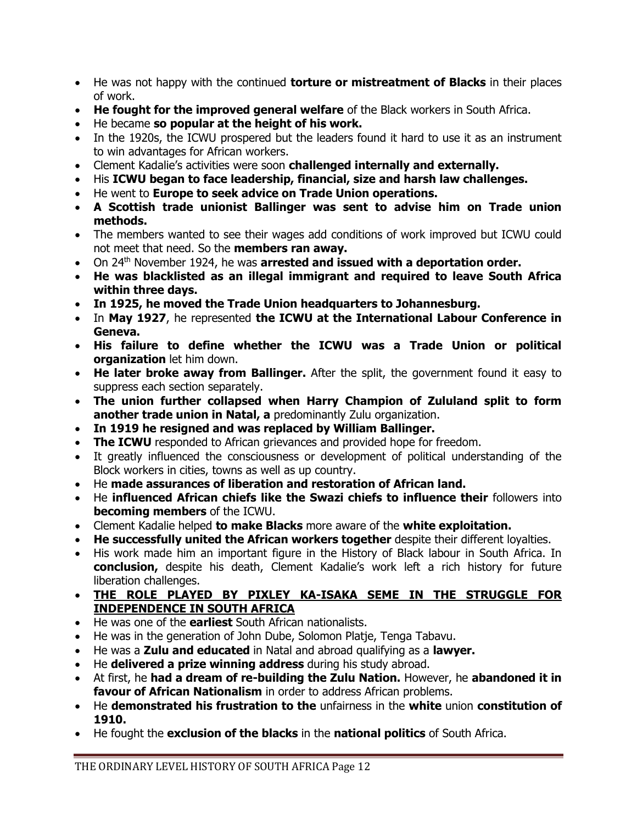- He was not happy with the continued **torture or mistreatment of Blacks** in their places of work.
- **He fought for the improved general welfare** of the Black workers in South Africa.
- He became **so popular at the height of his work.**
- In the 1920s, the ICWU prospered but the leaders found it hard to use it as an instrument to win advantages for African workers.
- Clement Kadalie's activities were soon **challenged internally and externally.**
- His **ICWU began to face leadership, financial, size and harsh law challenges.**
- He went to **Europe to seek advice on Trade Union operations.**
- **A Scottish trade unionist Ballinger was sent to advise him on Trade union methods.**
- The members wanted to see their wages add conditions of work improved but ICWU could not meet that need. So the **members ran away.**
- On 24<sup>th</sup> November 1924, he was **arrested and issued with a deportation order.**
- **He was blacklisted as an illegal immigrant and required to leave South Africa within three days.**
- **In 1925, he moved the Trade Union headquarters to Johannesburg.**
- In **May 1927**, he represented **the ICWU at the International Labour Conference in Geneva.**
- **His failure to define whether the ICWU was a Trade Union or political organization** let him down.
- **He later broke away from Ballinger.** After the split, the government found it easy to suppress each section separately.
- **The union further collapsed when Harry Champion of Zululand split to form another trade union in Natal, a** predominantly Zulu organization.
- **In 1919 he resigned and was replaced by William Ballinger.**
- **The ICWU** responded to African grievances and provided hope for freedom.
- It greatly influenced the consciousness or development of political understanding of the Block workers in cities, towns as well as up country.
- He **made assurances of liberation and restoration of African land.**
- He **influenced African chiefs like the Swazi chiefs to influence their** followers into **becoming members** of the ICWU.
- Clement Kadalie helped **to make Blacks** more aware of the **white exploitation.**
- **He successfully united the African workers together** despite their different loyalties.
- His work made him an important figure in the History of Black labour in South Africa. In **conclusion,** despite his death, Clement Kadalie's work left a rich history for future liberation challenges.
- **THE ROLE PLAYED BY PIXLEY KA-ISAKA SEME IN THE STRUGGLE FOR INDEPENDENCE IN SOUTH AFRICA**
- He was one of the **earliest** South African nationalists.
- He was in the generation of John Dube, Solomon Platje, Tenga Tabavu.
- He was a **Zulu and educated** in Natal and abroad qualifying as a **lawyer.**
- He **delivered a prize winning address** during his study abroad.
- At first, he **had a dream of re-building the Zulu Nation.** However, he **abandoned it in favour of African Nationalism** in order to address African problems.
- He **demonstrated his frustration to the** unfairness in the **white** union **constitution of 1910.**
- He fought the **exclusion of the blacks** in the **national politics** of South Africa.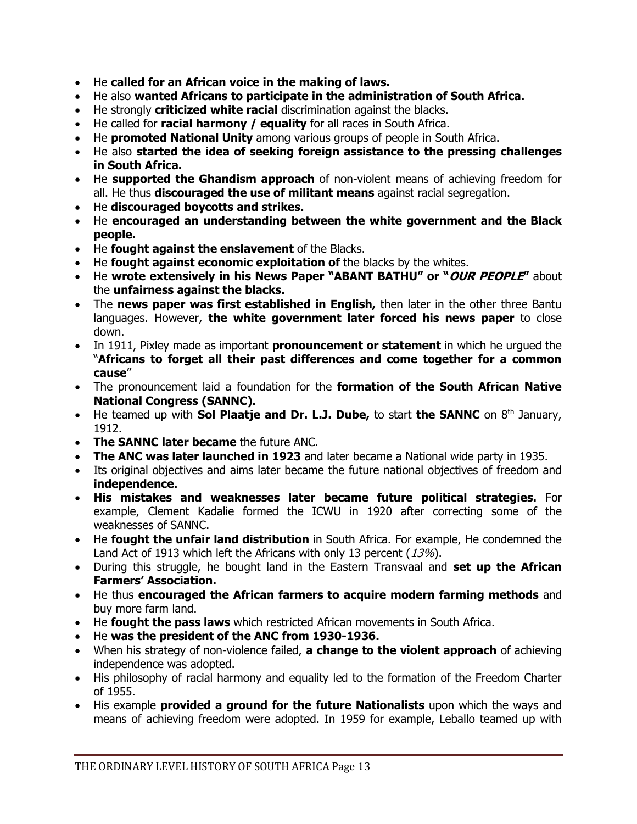- He **called for an African voice in the making of laws.**
- He also **wanted Africans to participate in the administration of South Africa.**
- He strongly **criticized white racial** discrimination against the blacks.
- He called for **racial harmony / equality** for all races in South Africa.
- He **promoted National Unity** among various groups of people in South Africa.
- He also **started the idea of seeking foreign assistance to the pressing challenges in South Africa.**
- He **supported the Ghandism approach** of non-violent means of achieving freedom for all. He thus **discouraged the use of militant means** against racial segregation.
- He **discouraged boycotts and strikes.**
- He **encouraged an understanding between the white government and the Black people.**
- He **fought against the enslavement** of the Blacks.
- He **fought against economic exploitation of** the blacks by the whites.
- He **wrote extensively in his News Paper "ABANT BATHU" or "OUR PEOPLE"** about the **unfairness against the blacks.**
- The **news paper was first established in English,** then later in the other three Bantu languages. However, **the white government later forced his news paper** to close down.
- In 1911, Pixley made as important **pronouncement or statement** in which he urgued the "**Africans to forget all their past differences and come together for a common cause**"
- The pronouncement laid a foundation for the **formation of the South African Native National Congress (SANNC).**
- He teamed up with **Sol Plaatje and Dr. L.J. Dube,** to start **the SANNC** on 8<sup>th</sup> January, 1912.
- **The SANNC later became** the future ANC.
- **The ANC was later launched in 1923** and later became a National wide party in 1935.
- Its original objectives and aims later became the future national objectives of freedom and **independence.**
- **His mistakes and weaknesses later became future political strategies.** For example, Clement Kadalie formed the ICWU in 1920 after correcting some of the weaknesses of SANNC.
- He **fought the unfair land distribution** in South Africa. For example, He condemned the Land Act of 1913 which left the Africans with only 13 percent (13%).
- During this struggle, he bought land in the Eastern Transvaal and **set up the African Farmers' Association.**
- He thus **encouraged the African farmers to acquire modern farming methods** and buy more farm land.
- He **fought the pass laws** which restricted African movements in South Africa.
- He **was the president of the ANC from 1930-1936.**
- When his strategy of non-violence failed, **a change to the violent approach** of achieving independence was adopted.
- His philosophy of racial harmony and equality led to the formation of the Freedom Charter of 1955.
- His example **provided a ground for the future Nationalists** upon which the ways and means of achieving freedom were adopted. In 1959 for example, Leballo teamed up with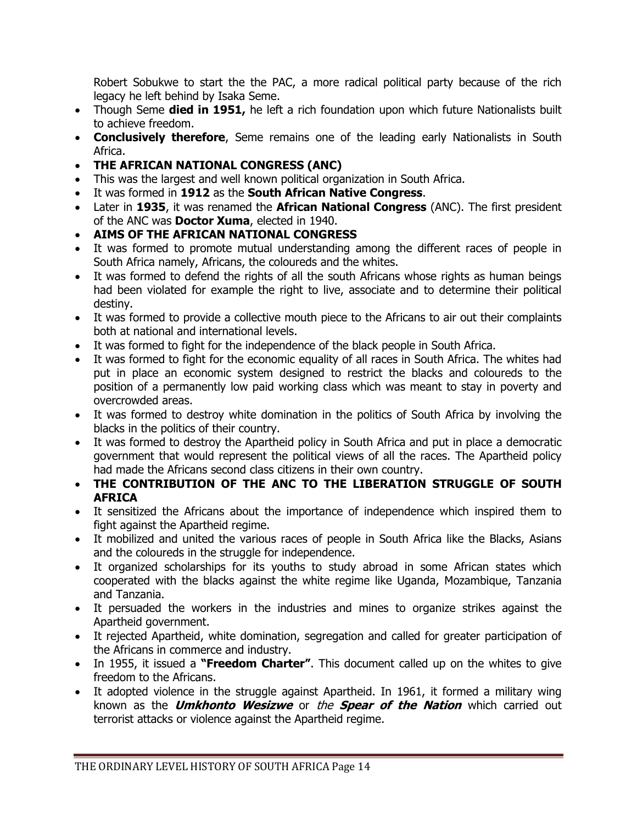Robert Sobukwe to start the the PAC, a more radical political party because of the rich legacy he left behind by Isaka Seme.

- Though Seme **died in 1951,** he left a rich foundation upon which future Nationalists built to achieve freedom.
- **Conclusively therefore**, Seme remains one of the leading early Nationalists in South Africa.
- **THE AFRICAN NATIONAL CONGRESS (ANC)**
- This was the largest and well known political organization in South Africa.
- It was formed in **1912** as the **South African Native Congress**.
- Later in **1935**, it was renamed the **African National Congress** (ANC). The first president of the ANC was **Doctor Xuma**, elected in 1940.
- **AIMS OF THE AFRICAN NATIONAL CONGRESS**
- It was formed to promote mutual understanding among the different races of people in South Africa namely, Africans, the coloureds and the whites.
- It was formed to defend the rights of all the south Africans whose rights as human beings had been violated for example the right to live, associate and to determine their political destiny.
- It was formed to provide a collective mouth piece to the Africans to air out their complaints both at national and international levels.
- It was formed to fight for the independence of the black people in South Africa.
- It was formed to fight for the economic equality of all races in South Africa. The whites had put in place an economic system designed to restrict the blacks and coloureds to the position of a permanently low paid working class which was meant to stay in poverty and overcrowded areas.
- It was formed to destroy white domination in the politics of South Africa by involving the blacks in the politics of their country.
- It was formed to destroy the Apartheid policy in South Africa and put in place a democratic government that would represent the political views of all the races. The Apartheid policy had made the Africans second class citizens in their own country.
- **THE CONTRIBUTION OF THE ANC TO THE LIBERATION STRUGGLE OF SOUTH AFRICA**
- It sensitized the Africans about the importance of independence which inspired them to fight against the Apartheid regime.
- It mobilized and united the various races of people in South Africa like the Blacks, Asians and the coloureds in the struggle for independence.
- It organized scholarships for its youths to study abroad in some African states which cooperated with the blacks against the white regime like Uganda, Mozambique, Tanzania and Tanzania.
- It persuaded the workers in the industries and mines to organize strikes against the Apartheid government.
- It rejected Apartheid, white domination, segregation and called for greater participation of the Africans in commerce and industry.
- In 1955, it issued a **"Freedom Charter"**. This document called up on the whites to give freedom to the Africans.
- It adopted violence in the struggle against Apartheid. In 1961, it formed a military wing known as the **Umkhonto Wesizwe** or the **Spear of the Nation** which carried out terrorist attacks or violence against the Apartheid regime.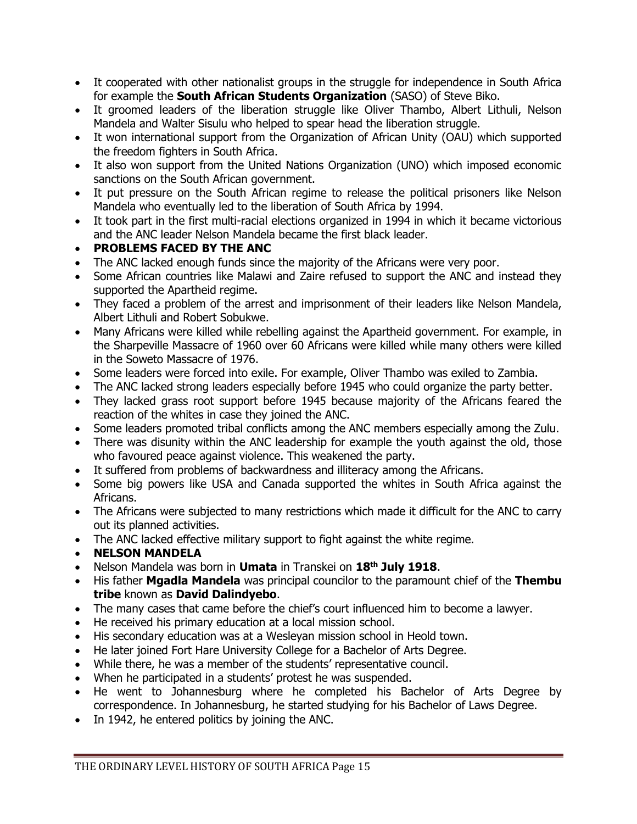- It cooperated with other nationalist groups in the struggle for independence in South Africa for example the **South African Students Organization** (SASO) of Steve Biko.
- It groomed leaders of the liberation struggle like Oliver Thambo, Albert Lithuli, Nelson Mandela and Walter Sisulu who helped to spear head the liberation struggle.
- It won international support from the Organization of African Unity (OAU) which supported the freedom fighters in South Africa.
- It also won support from the United Nations Organization (UNO) which imposed economic sanctions on the South African government.
- It put pressure on the South African regime to release the political prisoners like Nelson Mandela who eventually led to the liberation of South Africa by 1994.
- It took part in the first multi-racial elections organized in 1994 in which it became victorious and the ANC leader Nelson Mandela became the first black leader.

### **PROBLEMS FACED BY THE ANC**

- The ANC lacked enough funds since the majority of the Africans were very poor.
- Some African countries like Malawi and Zaire refused to support the ANC and instead they supported the Apartheid regime.
- They faced a problem of the arrest and imprisonment of their leaders like Nelson Mandela, Albert Lithuli and Robert Sobukwe.
- Many Africans were killed while rebelling against the Apartheid government. For example, in the Sharpeville Massacre of 1960 over 60 Africans were killed while many others were killed in the Soweto Massacre of 1976.
- Some leaders were forced into exile. For example, Oliver Thambo was exiled to Zambia.
- The ANC lacked strong leaders especially before 1945 who could organize the party better.
- They lacked grass root support before 1945 because majority of the Africans feared the reaction of the whites in case they joined the ANC.
- Some leaders promoted tribal conflicts among the ANC members especially among the Zulu.
- There was disunity within the ANC leadership for example the youth against the old, those who favoured peace against violence. This weakened the party.
- It suffered from problems of backwardness and illiteracy among the Africans.
- Some big powers like USA and Canada supported the whites in South Africa against the Africans.
- The Africans were subjected to many restrictions which made it difficult for the ANC to carry out its planned activities.
- The ANC lacked effective military support to fight against the white regime.
- **NELSON MANDELA**
- Nelson Mandela was born in **Umata** in Transkei on **18th July 1918**.
- His father **Mgadla Mandela** was principal councilor to the paramount chief of the **Thembu tribe** known as **David Dalindyebo**.
- The many cases that came before the chief's court influenced him to become a lawyer.
- He received his primary education at a local mission school.
- His secondary education was at a Wesleyan mission school in Heold town.
- He later joined Fort Hare University College for a Bachelor of Arts Degree.
- While there, he was a member of the students' representative council.
- When he participated in a students' protest he was suspended.
- He went to Johannesburg where he completed his Bachelor of Arts Degree by correspondence. In Johannesburg, he started studying for his Bachelor of Laws Degree.
- In 1942, he entered politics by joining the ANC.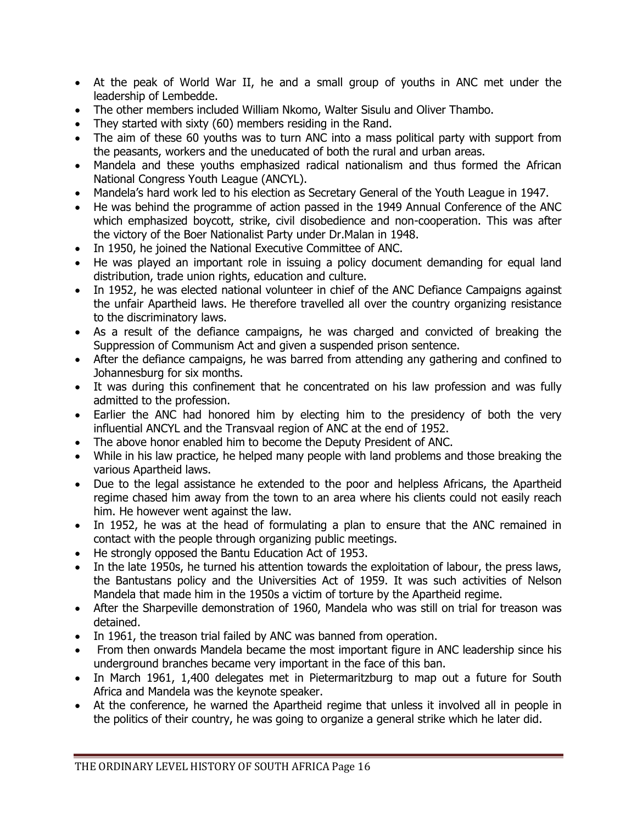- At the peak of World War II, he and a small group of youths in ANC met under the leadership of Lembedde.
- The other members included William Nkomo, Walter Sisulu and Oliver Thambo.
- They started with sixty (60) members residing in the Rand.
- The aim of these 60 youths was to turn ANC into a mass political party with support from the peasants, workers and the uneducated of both the rural and urban areas.
- Mandela and these youths emphasized radical nationalism and thus formed the African National Congress Youth League (ANCYL).
- Mandela's hard work led to his election as Secretary General of the Youth League in 1947.
- He was behind the programme of action passed in the 1949 Annual Conference of the ANC which emphasized boycott, strike, civil disobedience and non-cooperation. This was after the victory of the Boer Nationalist Party under Dr.Malan in 1948.
- In 1950, he joined the National Executive Committee of ANC.
- He was played an important role in issuing a policy document demanding for equal land distribution, trade union rights, education and culture.
- In 1952, he was elected national volunteer in chief of the ANC Defiance Campaigns against the unfair Apartheid laws. He therefore travelled all over the country organizing resistance to the discriminatory laws.
- As a result of the defiance campaigns, he was charged and convicted of breaking the Suppression of Communism Act and given a suspended prison sentence.
- After the defiance campaigns, he was barred from attending any gathering and confined to Johannesburg for six months.
- It was during this confinement that he concentrated on his law profession and was fully admitted to the profession.
- Earlier the ANC had honored him by electing him to the presidency of both the very influential ANCYL and the Transvaal region of ANC at the end of 1952.
- The above honor enabled him to become the Deputy President of ANC.
- While in his law practice, he helped many people with land problems and those breaking the various Apartheid laws.
- Due to the legal assistance he extended to the poor and helpless Africans, the Apartheid regime chased him away from the town to an area where his clients could not easily reach him. He however went against the law.
- In 1952, he was at the head of formulating a plan to ensure that the ANC remained in contact with the people through organizing public meetings.
- He strongly opposed the Bantu Education Act of 1953.
- In the late 1950s, he turned his attention towards the exploitation of labour, the press laws, the Bantustans policy and the Universities Act of 1959. It was such activities of Nelson Mandela that made him in the 1950s a victim of torture by the Apartheid regime.
- After the Sharpeville demonstration of 1960, Mandela who was still on trial for treason was detained.
- In 1961, the treason trial failed by ANC was banned from operation.
- From then onwards Mandela became the most important figure in ANC leadership since his underground branches became very important in the face of this ban.
- In March 1961, 1,400 delegates met in Pietermaritzburg to map out a future for South Africa and Mandela was the keynote speaker.
- At the conference, he warned the Apartheid regime that unless it involved all in people in the politics of their country, he was going to organize a general strike which he later did.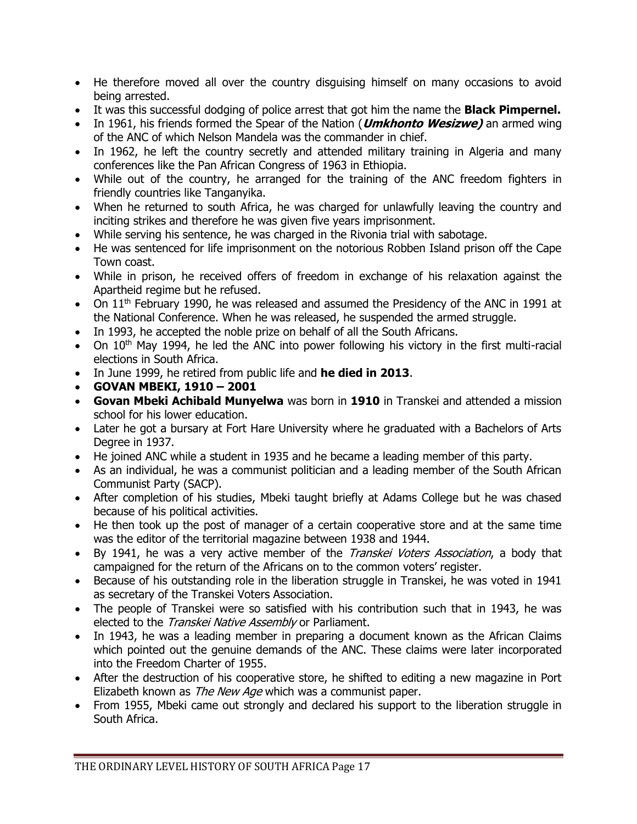- He therefore moved all over the country disguising himself on many occasions to avoid being arrested.
- It was this successful dodging of police arrest that got him the name the **Black Pimpernel.**
- In 1961, his friends formed the Spear of the Nation (**Umkhonto Wesizwe)** an armed wing of the ANC of which Nelson Mandela was the commander in chief.
- In 1962, he left the country secretly and attended military training in Algeria and many conferences like the Pan African Congress of 1963 in Ethiopia.
- While out of the country, he arranged for the training of the ANC freedom fighters in friendly countries like Tanganyika.
- When he returned to south Africa, he was charged for unlawfully leaving the country and inciting strikes and therefore he was given five years imprisonment.
- While serving his sentence, he was charged in the Rivonia trial with sabotage.
- He was sentenced for life imprisonment on the notorious Robben Island prison off the Cape Town coast.
- While in prison, he received offers of freedom in exchange of his relaxation against the Apartheid regime but he refused.
- $\bullet$  On 11<sup>th</sup> February 1990, he was released and assumed the Presidency of the ANC in 1991 at the National Conference. When he was released, he suspended the armed struggle.
- In 1993, he accepted the noble prize on behalf of all the South Africans.
- $\bullet$  On 10<sup>th</sup> May 1994, he led the ANC into power following his victory in the first multi-racial elections in South Africa.
- In June 1999, he retired from public life and **he died in 2013**.
- **GOVAN MBEKI, 1910 – 2001**
- **Govan Mbeki Achibald Munyelwa** was born in **1910** in Transkei and attended a mission school for his lower education.
- Later he got a bursary at Fort Hare University where he graduated with a Bachelors of Arts Degree in 1937.
- He joined ANC while a student in 1935 and he became a leading member of this party.
- As an individual, he was a communist politician and a leading member of the South African Communist Party (SACP).
- After completion of his studies, Mbeki taught briefly at Adams College but he was chased because of his political activities.
- He then took up the post of manager of a certain cooperative store and at the same time was the editor of the territorial magazine between 1938 and 1944.
- By 1941, he was a very active member of the *Transkei Voters Association*, a body that campaigned for the return of the Africans on to the common voters' register.
- Because of his outstanding role in the liberation struggle in Transkei, he was voted in 1941 as secretary of the Transkei Voters Association.
- The people of Transkei were so satisfied with his contribution such that in 1943, he was elected to the Transkei Native Assembly or Parliament.
- In 1943, he was a leading member in preparing a document known as the African Claims which pointed out the genuine demands of the ANC. These claims were later incorporated into the Freedom Charter of 1955.
- After the destruction of his cooperative store, he shifted to editing a new magazine in Port Elizabeth known as *The New Age* which was a communist paper.
- From 1955, Mbeki came out strongly and declared his support to the liberation struggle in South Africa.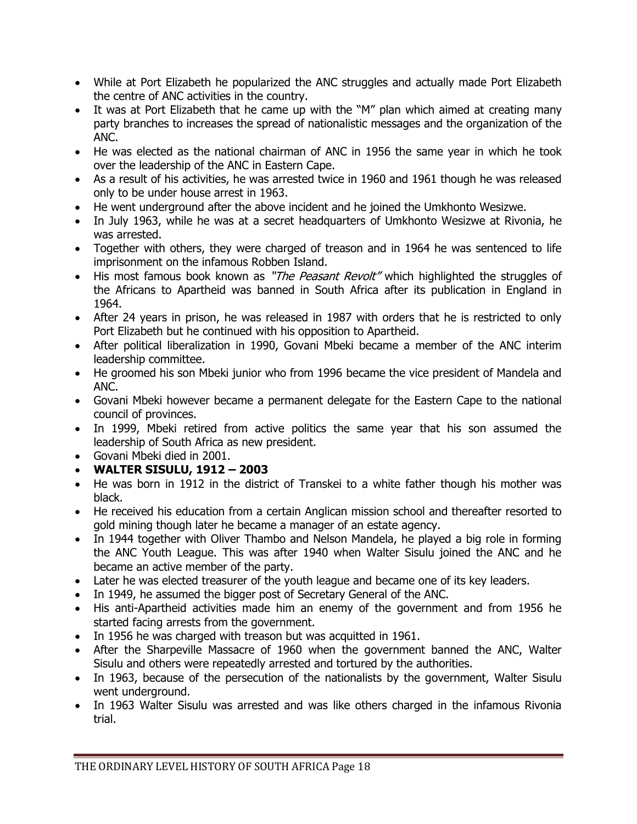- While at Port Elizabeth he popularized the ANC struggles and actually made Port Elizabeth the centre of ANC activities in the country.
- It was at Port Elizabeth that he came up with the "M" plan which aimed at creating many party branches to increases the spread of nationalistic messages and the organization of the ANC.
- He was elected as the national chairman of ANC in 1956 the same year in which he took over the leadership of the ANC in Eastern Cape.
- As a result of his activities, he was arrested twice in 1960 and 1961 though he was released only to be under house arrest in 1963.
- He went underground after the above incident and he joined the Umkhonto Wesizwe.
- In July 1963, while he was at a secret headquarters of Umkhonto Wesizwe at Rivonia, he was arrested.
- Together with others, they were charged of treason and in 1964 he was sentenced to life imprisonment on the infamous Robben Island.
- His most famous book known as "The Peasant Revolt" which highlighted the struggles of the Africans to Apartheid was banned in South Africa after its publication in England in 1964.
- After 24 years in prison, he was released in 1987 with orders that he is restricted to only Port Elizabeth but he continued with his opposition to Apartheid.
- After political liberalization in 1990, Govani Mbeki became a member of the ANC interim leadership committee.
- He groomed his son Mbeki junior who from 1996 became the vice president of Mandela and ANC.
- Govani Mbeki however became a permanent delegate for the Eastern Cape to the national council of provinces.
- In 1999, Mbeki retired from active politics the same year that his son assumed the leadership of South Africa as new president.
- Govani Mbeki died in 2001.
- **WALTER SISULU, 1912 – 2003**
- He was born in 1912 in the district of Transkei to a white father though his mother was black.
- He received his education from a certain Anglican mission school and thereafter resorted to gold mining though later he became a manager of an estate agency.
- In 1944 together with Oliver Thambo and Nelson Mandela, he played a big role in forming the ANC Youth League. This was after 1940 when Walter Sisulu joined the ANC and he became an active member of the party.
- Later he was elected treasurer of the youth league and became one of its key leaders.
- In 1949, he assumed the bigger post of Secretary General of the ANC.
- His anti-Apartheid activities made him an enemy of the government and from 1956 he started facing arrests from the government.
- In 1956 he was charged with treason but was acquitted in 1961.
- After the Sharpeville Massacre of 1960 when the government banned the ANC, Walter Sisulu and others were repeatedly arrested and tortured by the authorities.
- In 1963, because of the persecution of the nationalists by the government, Walter Sisulu went underground.
- In 1963 Walter Sisulu was arrested and was like others charged in the infamous Rivonia trial.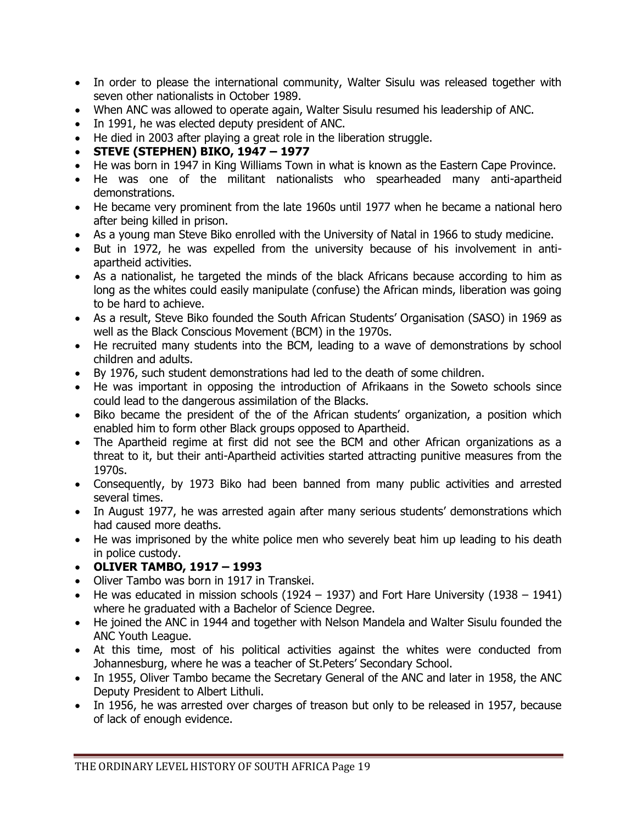- In order to please the international community, Walter Sisulu was released together with seven other nationalists in October 1989.
- When ANC was allowed to operate again, Walter Sisulu resumed his leadership of ANC.
- In 1991, he was elected deputy president of ANC.
- He died in 2003 after playing a great role in the liberation struggle.
- **STEVE (STEPHEN) BIKO, 1947 – 1977**
- He was born in 1947 in King Williams Town in what is known as the Eastern Cape Province.
- He was one of the militant nationalists who spearheaded many anti-apartheid demonstrations.
- He became very prominent from the late 1960s until 1977 when he became a national hero after being killed in prison.
- As a young man Steve Biko enrolled with the University of Natal in 1966 to study medicine.
- But in 1972, he was expelled from the university because of his involvement in antiapartheid activities.
- As a nationalist, he targeted the minds of the black Africans because according to him as long as the whites could easily manipulate (confuse) the African minds, liberation was going to be hard to achieve.
- As a result, Steve Biko founded the South African Students' Organisation (SASO) in 1969 as well as the Black Conscious Movement (BCM) in the 1970s.
- He recruited many students into the BCM, leading to a wave of demonstrations by school children and adults.
- By 1976, such student demonstrations had led to the death of some children.
- He was important in opposing the introduction of Afrikaans in the Soweto schools since could lead to the dangerous assimilation of the Blacks.
- Biko became the president of the of the African students' organization, a position which enabled him to form other Black groups opposed to Apartheid.
- The Apartheid regime at first did not see the BCM and other African organizations as a threat to it, but their anti-Apartheid activities started attracting punitive measures from the 1970s.
- Consequently, by 1973 Biko had been banned from many public activities and arrested several times.
- In August 1977, he was arrested again after many serious students' demonstrations which had caused more deaths.
- He was imprisoned by the white police men who severely beat him up leading to his death in police custody.

#### **OLIVER TAMBO, 1917 – 1993**

- Oliver Tambo was born in 1917 in Transkei.
- He was educated in mission schools (1924 1937) and Fort Hare University (1938 1941) where he graduated with a Bachelor of Science Degree.
- He joined the ANC in 1944 and together with Nelson Mandela and Walter Sisulu founded the ANC Youth League.
- At this time, most of his political activities against the whites were conducted from Johannesburg, where he was a teacher of St.Peters' Secondary School.
- In 1955, Oliver Tambo became the Secretary General of the ANC and later in 1958, the ANC Deputy President to Albert Lithuli.
- In 1956, he was arrested over charges of treason but only to be released in 1957, because of lack of enough evidence.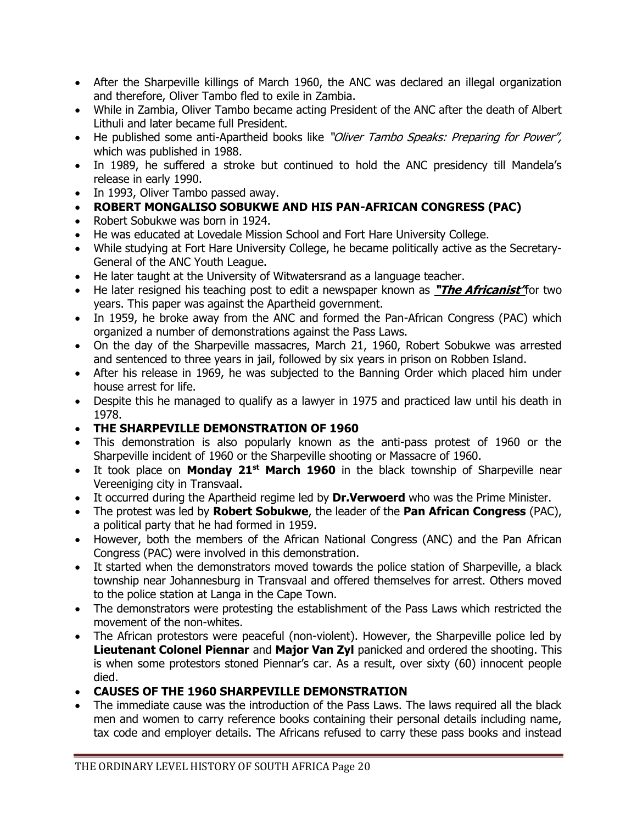- After the Sharpeville killings of March 1960, the ANC was declared an illegal organization and therefore, Oliver Tambo fled to exile in Zambia.
- While in Zambia, Oliver Tambo became acting President of the ANC after the death of Albert Lithuli and later became full President.
- He published some anti-Apartheid books like "Oliver Tambo Speaks: Preparing for Power", which was published in 1988.
- In 1989, he suffered a stroke but continued to hold the ANC presidency till Mandela's release in early 1990.
- In 1993, Oliver Tambo passed away.

# **ROBERT MONGALISO SOBUKWE AND HIS PAN-AFRICAN CONGRESS (PAC)**

- Robert Sobukwe was born in 1924.
- He was educated at Lovedale Mission School and Fort Hare University College.
- While studying at Fort Hare University College, he became politically active as the Secretary-General of the ANC Youth League.
- He later taught at the University of Witwatersrand as a language teacher.
- He later resigned his teaching post to edit a newspaper known as **"The Africanist"**for two years. This paper was against the Apartheid government.
- In 1959, he broke away from the ANC and formed the Pan-African Congress (PAC) which organized a number of demonstrations against the Pass Laws.
- On the day of the Sharpeville massacres, March 21, 1960, Robert Sobukwe was arrested and sentenced to three years in jail, followed by six years in prison on Robben Island.
- After his release in 1969, he was subjected to the Banning Order which placed him under house arrest for life.
- Despite this he managed to qualify as a lawyer in 1975 and practiced law until his death in 1978.
- **THE SHARPEVILLE DEMONSTRATION OF 1960**
- This demonstration is also popularly known as the anti-pass protest of 1960 or the Sharpeville incident of 1960 or the Sharpeville shooting or Massacre of 1960.
- It took place on **Monday 21st March 1960** in the black township of Sharpeville near Vereeniging city in Transvaal.
- It occurred during the Apartheid regime led by **Dr.Verwoerd** who was the Prime Minister.
- The protest was led by **Robert Sobukwe**, the leader of the **Pan African Congress** (PAC), a political party that he had formed in 1959.
- However, both the members of the African National Congress (ANC) and the Pan African Congress (PAC) were involved in this demonstration.
- It started when the demonstrators moved towards the police station of Sharpeville, a black township near Johannesburg in Transvaal and offered themselves for arrest. Others moved to the police station at Langa in the Cape Town.
- The demonstrators were protesting the establishment of the Pass Laws which restricted the movement of the non-whites.
- The African protestors were peaceful (non-violent). However, the Sharpeville police led by **Lieutenant Colonel Piennar** and **Major Van Zyl** panicked and ordered the shooting. This is when some protestors stoned Piennar's car. As a result, over sixty (60) innocent people died.
- **CAUSES OF THE 1960 SHARPEVILLE DEMONSTRATION**
- The immediate cause was the introduction of the Pass Laws. The laws required all the black men and women to carry reference books containing their personal details including name, tax code and employer details. The Africans refused to carry these pass books and instead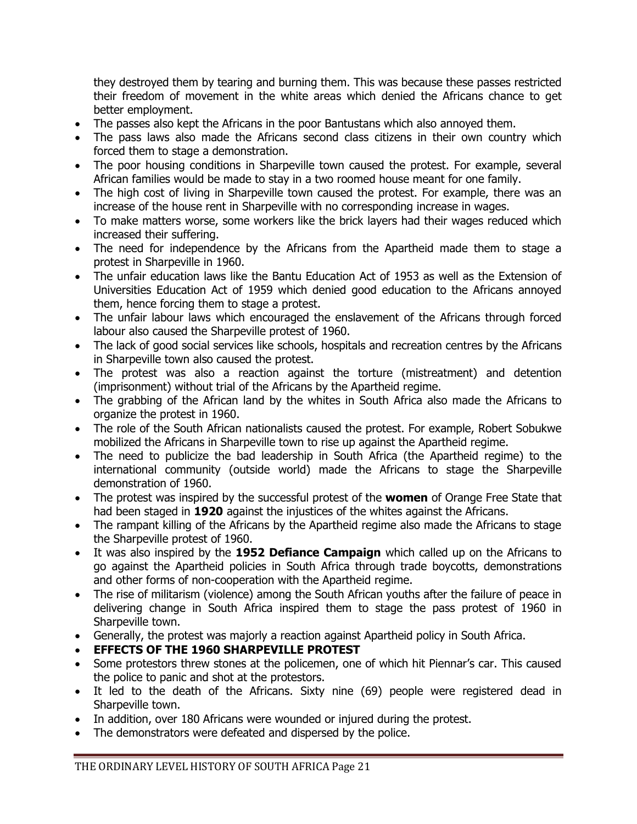they destroyed them by tearing and burning them. This was because these passes restricted their freedom of movement in the white areas which denied the Africans chance to get better employment.

- The passes also kept the Africans in the poor Bantustans which also annoyed them.
- The pass laws also made the Africans second class citizens in their own country which forced them to stage a demonstration.
- The poor housing conditions in Sharpeville town caused the protest. For example, several African families would be made to stay in a two roomed house meant for one family.
- The high cost of living in Sharpeville town caused the protest. For example, there was an increase of the house rent in Sharpeville with no corresponding increase in wages.
- To make matters worse, some workers like the brick layers had their wages reduced which increased their suffering.
- The need for independence by the Africans from the Apartheid made them to stage a protest in Sharpeville in 1960.
- The unfair education laws like the Bantu Education Act of 1953 as well as the Extension of Universities Education Act of 1959 which denied good education to the Africans annoyed them, hence forcing them to stage a protest.
- The unfair labour laws which encouraged the enslavement of the Africans through forced labour also caused the Sharpeville protest of 1960.
- The lack of good social services like schools, hospitals and recreation centres by the Africans in Sharpeville town also caused the protest.
- The protest was also a reaction against the torture (mistreatment) and detention (imprisonment) without trial of the Africans by the Apartheid regime.
- The grabbing of the African land by the whites in South Africa also made the Africans to organize the protest in 1960.
- The role of the South African nationalists caused the protest. For example, Robert Sobukwe mobilized the Africans in Sharpeville town to rise up against the Apartheid regime.
- The need to publicize the bad leadership in South Africa (the Apartheid regime) to the international community (outside world) made the Africans to stage the Sharpeville demonstration of 1960.
- The protest was inspired by the successful protest of the **women** of Orange Free State that had been staged in **1920** against the injustices of the whites against the Africans.
- The rampant killing of the Africans by the Apartheid regime also made the Africans to stage the Sharpeville protest of 1960.
- It was also inspired by the **1952 Defiance Campaign** which called up on the Africans to go against the Apartheid policies in South Africa through trade boycotts, demonstrations and other forms of non-cooperation with the Apartheid regime.
- The rise of militarism (violence) among the South African youths after the failure of peace in delivering change in South Africa inspired them to stage the pass protest of 1960 in Sharpeville town.
- Generally, the protest was majorly a reaction against Apartheid policy in South Africa.
- **EFFECTS OF THE 1960 SHARPEVILLE PROTEST**
- Some protestors threw stones at the policemen, one of which hit Piennar's car. This caused the police to panic and shot at the protestors.
- It led to the death of the Africans. Sixty nine (69) people were registered dead in Sharpeville town.
- In addition, over 180 Africans were wounded or injured during the protest.
- The demonstrators were defeated and dispersed by the police.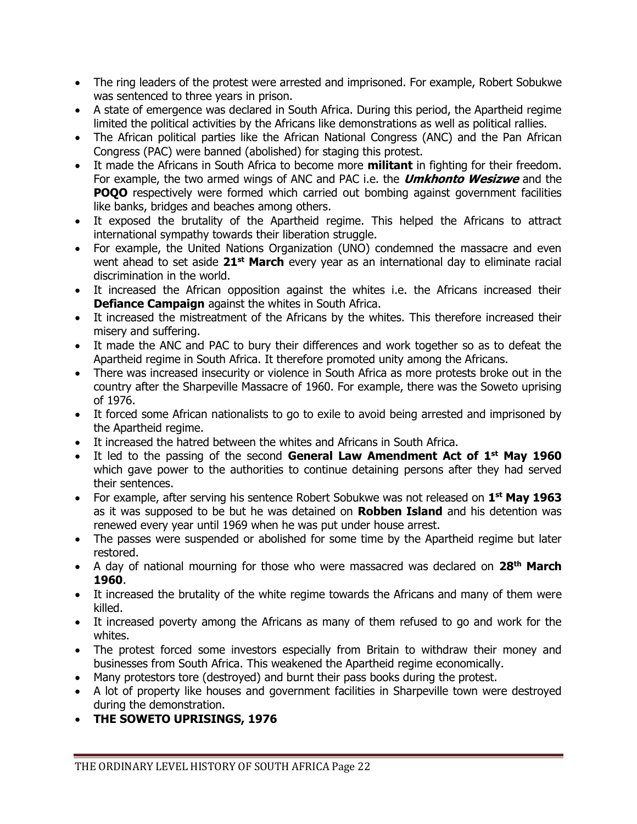- The ring leaders of the protest were arrested and imprisoned. For example, Robert Sobukwe was sentenced to three years in prison.
- A state of emergence was declared in South Africa. During this period, the Apartheid regime limited the political activities by the Africans like demonstrations as well as political rallies.
- The African political parties like the African National Congress (ANC) and the Pan African Congress (PAC) were banned (abolished) for staging this protest.
- It made the Africans in South Africa to become more **militant** in fighting for their freedom. For example, the two armed wings of ANC and PAC i.e. the **Umkhonto Wesizwe** and the **POQO** respectively were formed which carried out bombing against government facilities like banks, bridges and beaches among others.
- It exposed the brutality of the Apartheid regime. This helped the Africans to attract international sympathy towards their liberation struggle.
- For example, the United Nations Organization (UNO) condemned the massacre and even went ahead to set aside **21st March** every year as an international day to eliminate racial discrimination in the world.
- It increased the African opposition against the whites i.e. the Africans increased their **Defiance Campaign** against the whites in South Africa.
- It increased the mistreatment of the Africans by the whites. This therefore increased their misery and suffering.
- It made the ANC and PAC to bury their differences and work together so as to defeat the Apartheid regime in South Africa. It therefore promoted unity among the Africans.
- There was increased insecurity or violence in South Africa as more protests broke out in the country after the Sharpeville Massacre of 1960. For example, there was the Soweto uprising of 1976.
- It forced some African nationalists to go to exile to avoid being arrested and imprisoned by the Apartheid regime.
- It increased the hatred between the whites and Africans in South Africa.
- It led to the passing of the second **General Law Amendment Act of 1st May 1960** which gave power to the authorities to continue detaining persons after they had served their sentences.
- For example, after serving his sentence Robert Sobukwe was not released on 1<sup>st</sup> May 1963 as it was supposed to be but he was detained on **Robben Island** and his detention was renewed every year until 1969 when he was put under house arrest.
- The passes were suspended or abolished for some time by the Apartheid regime but later restored.
- A day of national mourning for those who were massacred was declared on **28th March 1960**.
- It increased the brutality of the white regime towards the Africans and many of them were killed.
- It increased poverty among the Africans as many of them refused to go and work for the whites.
- The protest forced some investors especially from Britain to withdraw their money and businesses from South Africa. This weakened the Apartheid regime economically.
- Many protestors tore (destroyed) and burnt their pass books during the protest.
- A lot of property like houses and government facilities in Sharpeville town were destroyed during the demonstration.
- **THE SOWETO UPRISINGS, 1976**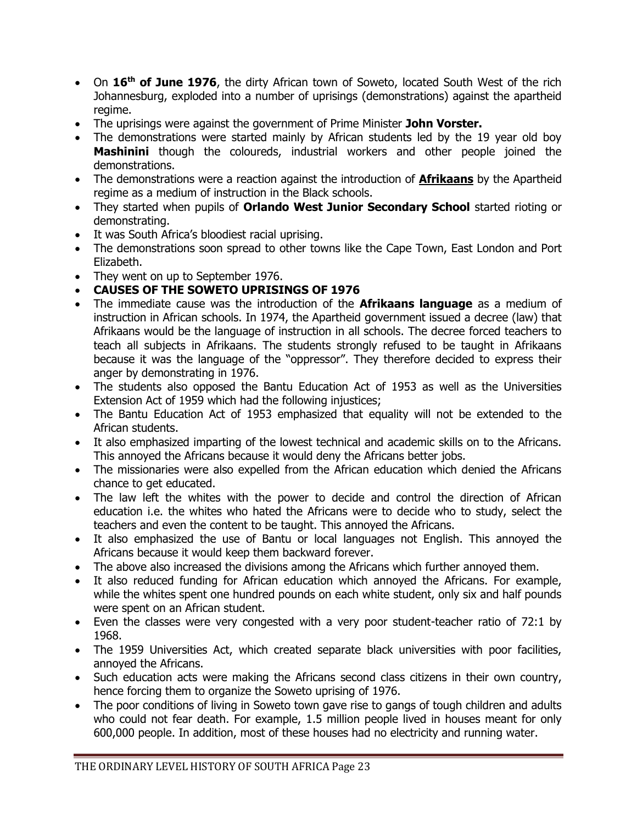- On **16th of June 1976**, the dirty African town of Soweto, located South West of the rich Johannesburg, exploded into a number of uprisings (demonstrations) against the apartheid regime.
- The uprisings were against the government of Prime Minister **John Vorster.**
- The demonstrations were started mainly by African students led by the 19 year old boy **Mashinini** though the coloureds, industrial workers and other people joined the demonstrations.
- The demonstrations were a reaction against the introduction of **Afrikaans** by the Apartheid regime as a medium of instruction in the Black schools.
- They started when pupils of **Orlando West Junior Secondary School** started rioting or demonstrating.
- It was South Africa's bloodiest racial uprising.
- The demonstrations soon spread to other towns like the Cape Town, East London and Port Elizabeth.
- They went on up to September 1976.

### **CAUSES OF THE SOWETO UPRISINGS OF 1976**

- The immediate cause was the introduction of the **Afrikaans language** as a medium of instruction in African schools. In 1974, the Apartheid government issued a decree (law) that Afrikaans would be the language of instruction in all schools. The decree forced teachers to teach all subjects in Afrikaans. The students strongly refused to be taught in Afrikaans because it was the language of the "oppressor". They therefore decided to express their anger by demonstrating in 1976.
- The students also opposed the Bantu Education Act of 1953 as well as the Universities Extension Act of 1959 which had the following injustices;
- The Bantu Education Act of 1953 emphasized that equality will not be extended to the African students.
- It also emphasized imparting of the lowest technical and academic skills on to the Africans. This annoyed the Africans because it would deny the Africans better jobs.
- The missionaries were also expelled from the African education which denied the Africans chance to get educated.
- The law left the whites with the power to decide and control the direction of African education i.e. the whites who hated the Africans were to decide who to study, select the teachers and even the content to be taught. This annoyed the Africans.
- It also emphasized the use of Bantu or local languages not English. This annoyed the Africans because it would keep them backward forever.
- The above also increased the divisions among the Africans which further annoyed them.
- It also reduced funding for African education which annoyed the Africans. For example, while the whites spent one hundred pounds on each white student, only six and half pounds were spent on an African student.
- Even the classes were very congested with a very poor student-teacher ratio of 72:1 by 1968.
- The 1959 Universities Act, which created separate black universities with poor facilities, annoyed the Africans.
- Such education acts were making the Africans second class citizens in their own country, hence forcing them to organize the Soweto uprising of 1976.
- The poor conditions of living in Soweto town gave rise to gangs of tough children and adults who could not fear death. For example, 1.5 million people lived in houses meant for only 600,000 people. In addition, most of these houses had no electricity and running water.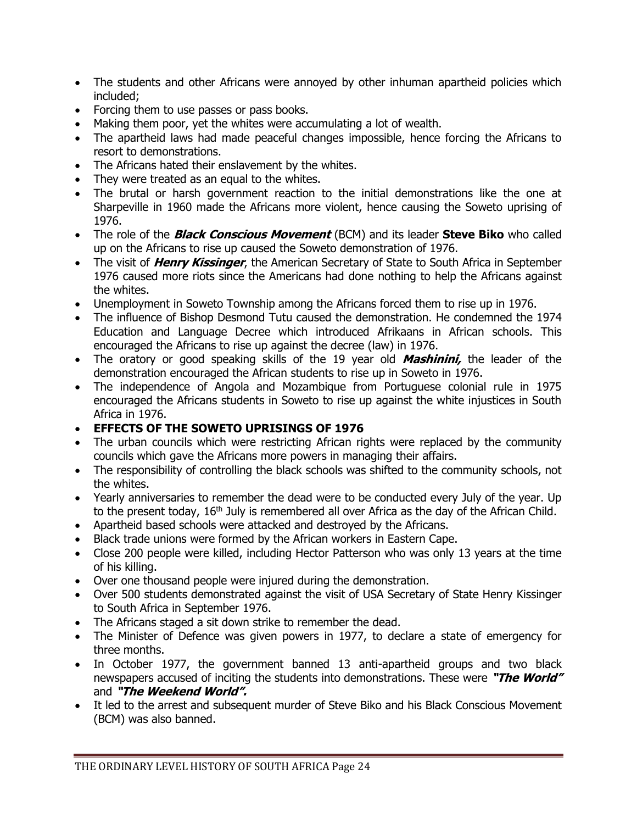- The students and other Africans were annoyed by other inhuman apartheid policies which included;
- Forcing them to use passes or pass books.
- Making them poor, yet the whites were accumulating a lot of wealth.
- The apartheid laws had made peaceful changes impossible, hence forcing the Africans to resort to demonstrations.
- The Africans hated their enslavement by the whites.
- They were treated as an equal to the whites.
- The brutal or harsh government reaction to the initial demonstrations like the one at Sharpeville in 1960 made the Africans more violent, hence causing the Soweto uprising of 1976.
- The role of the **Black Conscious Movement** (BCM) and its leader **Steve Biko** who called up on the Africans to rise up caused the Soweto demonstration of 1976.
- The visit of **Henry Kissinger**, the American Secretary of State to South Africa in September 1976 caused more riots since the Americans had done nothing to help the Africans against the whites.
- Unemployment in Soweto Township among the Africans forced them to rise up in 1976.
- The influence of Bishop Desmond Tutu caused the demonstration. He condemned the 1974 Education and Language Decree which introduced Afrikaans in African schools. This encouraged the Africans to rise up against the decree (law) in 1976.
- The oratory or good speaking skills of the 19 year old **Mashinini,** the leader of the demonstration encouraged the African students to rise up in Soweto in 1976.
- The independence of Angola and Mozambique from Portuguese colonial rule in 1975 encouraged the Africans students in Soweto to rise up against the white injustices in South Africa in 1976.
- **EFFECTS OF THE SOWETO UPRISINGS OF 1976**
- The urban councils which were restricting African rights were replaced by the community councils which gave the Africans more powers in managing their affairs.
- The responsibility of controlling the black schools was shifted to the community schools, not the whites.
- Yearly anniversaries to remember the dead were to be conducted every July of the year. Up to the present today,  $16<sup>th</sup>$  July is remembered all over Africa as the day of the African Child.
- Apartheid based schools were attacked and destroyed by the Africans.
- Black trade unions were formed by the African workers in Eastern Cape.
- Close 200 people were killed, including Hector Patterson who was only 13 years at the time of his killing.
- Over one thousand people were injured during the demonstration.
- Over 500 students demonstrated against the visit of USA Secretary of State Henry Kissinger to South Africa in September 1976.
- The Africans staged a sit down strike to remember the dead.
- The Minister of Defence was given powers in 1977, to declare a state of emergency for three months.
- In October 1977, the government banned 13 anti-apartheid groups and two black newspapers accused of inciting the students into demonstrations. These were **"The World"**  and **"The Weekend World".**
- It led to the arrest and subsequent murder of Steve Biko and his Black Conscious Movement (BCM) was also banned.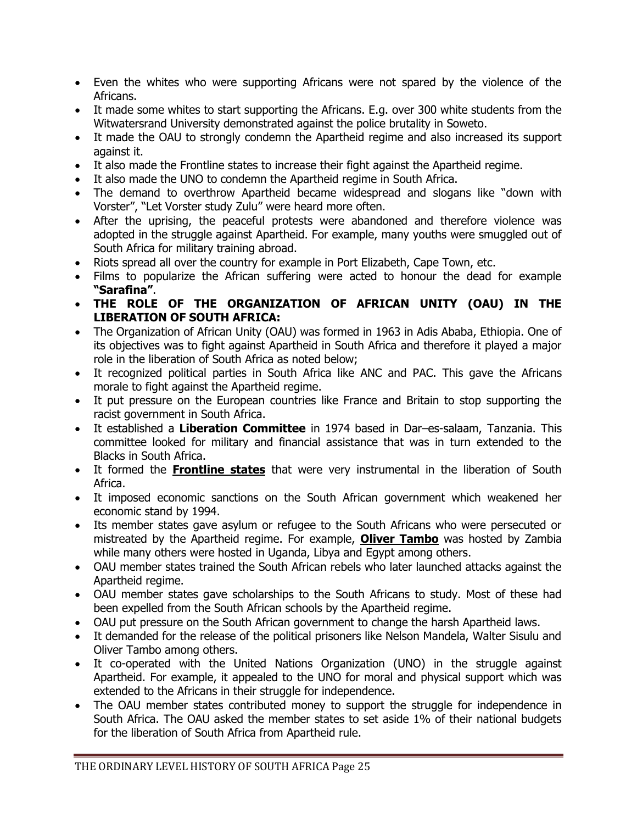- Even the whites who were supporting Africans were not spared by the violence of the Africans.
- It made some whites to start supporting the Africans. E.g. over 300 white students from the Witwatersrand University demonstrated against the police brutality in Soweto.
- It made the OAU to strongly condemn the Apartheid regime and also increased its support against it.
- It also made the Frontline states to increase their fight against the Apartheid regime.
- It also made the UNO to condemn the Apartheid regime in South Africa.
- The demand to overthrow Apartheid became widespread and slogans like "down with Vorster", "Let Vorster study Zulu" were heard more often.
- After the uprising, the peaceful protests were abandoned and therefore violence was adopted in the struggle against Apartheid. For example, many youths were smuggled out of South Africa for military training abroad.
- Riots spread all over the country for example in Port Elizabeth, Cape Town, etc.
- Films to popularize the African suffering were acted to honour the dead for example **"Sarafina"**.
- **THE ROLE OF THE ORGANIZATION OF AFRICAN UNITY (OAU) IN THE LIBERATION OF SOUTH AFRICA:**
- The Organization of African Unity (OAU) was formed in 1963 in Adis Ababa, Ethiopia. One of its objectives was to fight against Apartheid in South Africa and therefore it played a major role in the liberation of South Africa as noted below;
- It recognized political parties in South Africa like ANC and PAC. This gave the Africans morale to fight against the Apartheid regime.
- It put pressure on the European countries like France and Britain to stop supporting the racist government in South Africa.
- It established a **Liberation Committee** in 1974 based in Dar–es-salaam, Tanzania. This committee looked for military and financial assistance that was in turn extended to the Blacks in South Africa.
- It formed the **Frontline states** that were very instrumental in the liberation of South Africa.
- It imposed economic sanctions on the South African government which weakened her economic stand by 1994.
- Its member states gave asylum or refugee to the South Africans who were persecuted or mistreated by the Apartheid regime. For example, **Oliver Tambo** was hosted by Zambia while many others were hosted in Uganda, Libya and Egypt among others.
- OAU member states trained the South African rebels who later launched attacks against the Apartheid regime.
- OAU member states gave scholarships to the South Africans to study. Most of these had been expelled from the South African schools by the Apartheid regime.
- OAU put pressure on the South African government to change the harsh Apartheid laws.
- It demanded for the release of the political prisoners like Nelson Mandela, Walter Sisulu and Oliver Tambo among others.
- It co-operated with the United Nations Organization (UNO) in the struggle against Apartheid. For example, it appealed to the UNO for moral and physical support which was extended to the Africans in their struggle for independence.
- The OAU member states contributed money to support the struggle for independence in South Africa. The OAU asked the member states to set aside 1% of their national budgets for the liberation of South Africa from Apartheid rule.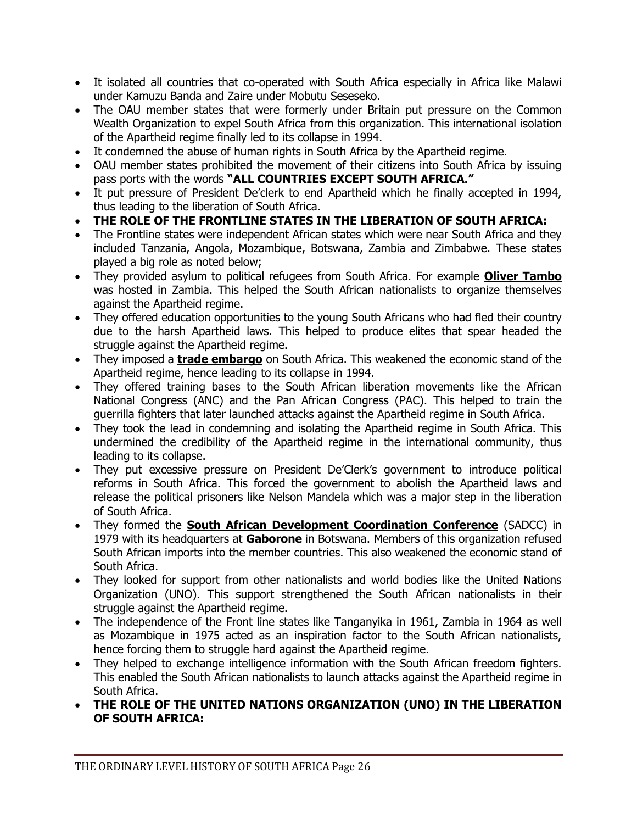- It isolated all countries that co-operated with South Africa especially in Africa like Malawi under Kamuzu Banda and Zaire under Mobutu Seseseko.
- The OAU member states that were formerly under Britain put pressure on the Common Wealth Organization to expel South Africa from this organization. This international isolation of the Apartheid regime finally led to its collapse in 1994.
- It condemned the abuse of human rights in South Africa by the Apartheid regime.
- OAU member states prohibited the movement of their citizens into South Africa by issuing pass ports with the words **"ALL COUNTRIES EXCEPT SOUTH AFRICA."**
- It put pressure of President De'clerk to end Apartheid which he finally accepted in 1994, thus leading to the liberation of South Africa.
- **THE ROLE OF THE FRONTLINE STATES IN THE LIBERATION OF SOUTH AFRICA:**
- The Frontline states were independent African states which were near South Africa and they included Tanzania, Angola, Mozambique, Botswana, Zambia and Zimbabwe. These states played a big role as noted below;
- They provided asylum to political refugees from South Africa. For example **Oliver Tambo** was hosted in Zambia. This helped the South African nationalists to organize themselves against the Apartheid regime.
- They offered education opportunities to the young South Africans who had fled their country due to the harsh Apartheid laws. This helped to produce elites that spear headed the struggle against the Apartheid regime.
- They imposed a **trade embargo** on South Africa. This weakened the economic stand of the Apartheid regime, hence leading to its collapse in 1994.
- They offered training bases to the South African liberation movements like the African National Congress (ANC) and the Pan African Congress (PAC). This helped to train the guerrilla fighters that later launched attacks against the Apartheid regime in South Africa.
- They took the lead in condemning and isolating the Apartheid regime in South Africa. This undermined the credibility of the Apartheid regime in the international community, thus leading to its collapse.
- They put excessive pressure on President De'Clerk's government to introduce political reforms in South Africa. This forced the government to abolish the Apartheid laws and release the political prisoners like Nelson Mandela which was a major step in the liberation of South Africa.
- They formed the **South African Development Coordination Conference** (SADCC) in 1979 with its headquarters at **Gaborone** in Botswana. Members of this organization refused South African imports into the member countries. This also weakened the economic stand of South Africa.
- They looked for support from other nationalists and world bodies like the United Nations Organization (UNO). This support strengthened the South African nationalists in their struggle against the Apartheid regime.
- The independence of the Front line states like Tanganyika in 1961, Zambia in 1964 as well as Mozambique in 1975 acted as an inspiration factor to the South African nationalists, hence forcing them to struggle hard against the Apartheid regime.
- They helped to exchange intelligence information with the South African freedom fighters. This enabled the South African nationalists to launch attacks against the Apartheid regime in South Africa.
- **THE ROLE OF THE UNITED NATIONS ORGANIZATION (UNO) IN THE LIBERATION OF SOUTH AFRICA:**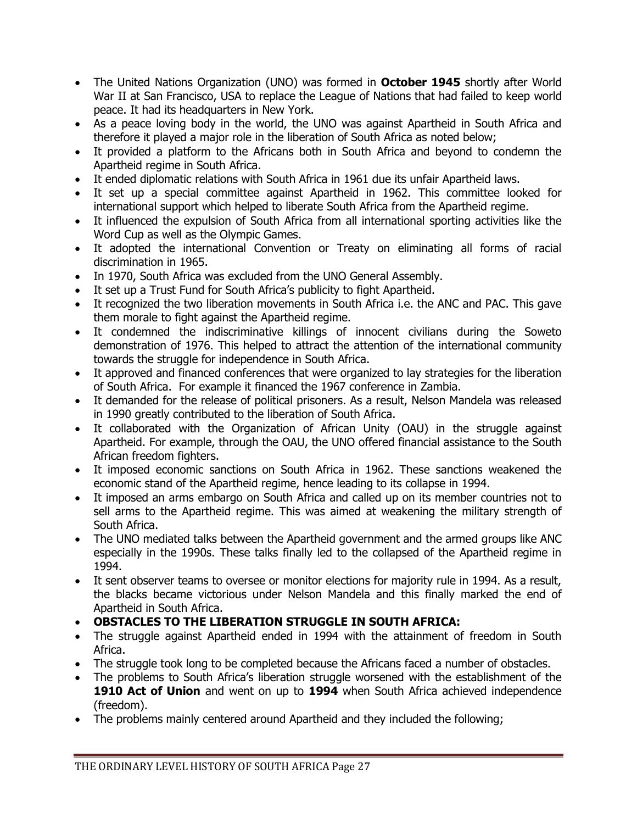- The United Nations Organization (UNO) was formed in **October 1945** shortly after World War II at San Francisco, USA to replace the League of Nations that had failed to keep world peace. It had its headquarters in New York.
- As a peace loving body in the world, the UNO was against Apartheid in South Africa and therefore it played a major role in the liberation of South Africa as noted below;
- It provided a platform to the Africans both in South Africa and beyond to condemn the Apartheid regime in South Africa.
- It ended diplomatic relations with South Africa in 1961 due its unfair Apartheid laws.
- It set up a special committee against Apartheid in 1962. This committee looked for international support which helped to liberate South Africa from the Apartheid regime.
- It influenced the expulsion of South Africa from all international sporting activities like the Word Cup as well as the Olympic Games.
- It adopted the international Convention or Treaty on eliminating all forms of racial discrimination in 1965.
- In 1970, South Africa was excluded from the UNO General Assembly.
- It set up a Trust Fund for South Africa's publicity to fight Apartheid.
- It recognized the two liberation movements in South Africa i.e. the ANC and PAC. This gave them morale to fight against the Apartheid regime.
- It condemned the indiscriminative killings of innocent civilians during the Soweto demonstration of 1976. This helped to attract the attention of the international community towards the struggle for independence in South Africa.
- It approved and financed conferences that were organized to lay strategies for the liberation of South Africa. For example it financed the 1967 conference in Zambia.
- It demanded for the release of political prisoners. As a result, Nelson Mandela was released in 1990 greatly contributed to the liberation of South Africa.
- It collaborated with the Organization of African Unity (OAU) in the struggle against Apartheid. For example, through the OAU, the UNO offered financial assistance to the South African freedom fighters.
- It imposed economic sanctions on South Africa in 1962. These sanctions weakened the economic stand of the Apartheid regime, hence leading to its collapse in 1994.
- It imposed an arms embargo on South Africa and called up on its member countries not to sell arms to the Apartheid regime. This was aimed at weakening the military strength of South Africa.
- The UNO mediated talks between the Apartheid government and the armed groups like ANC especially in the 1990s. These talks finally led to the collapsed of the Apartheid regime in 1994.
- It sent observer teams to oversee or monitor elections for majority rule in 1994. As a result, the blacks became victorious under Nelson Mandela and this finally marked the end of Apartheid in South Africa.
- **OBSTACLES TO THE LIBERATION STRUGGLE IN SOUTH AFRICA:**
- The struggle against Apartheid ended in 1994 with the attainment of freedom in South Africa.
- The struggle took long to be completed because the Africans faced a number of obstacles.
- The problems to South Africa's liberation struggle worsened with the establishment of the **1910 Act of Union** and went on up to **1994** when South Africa achieved independence (freedom).
- The problems mainly centered around Apartheid and they included the following;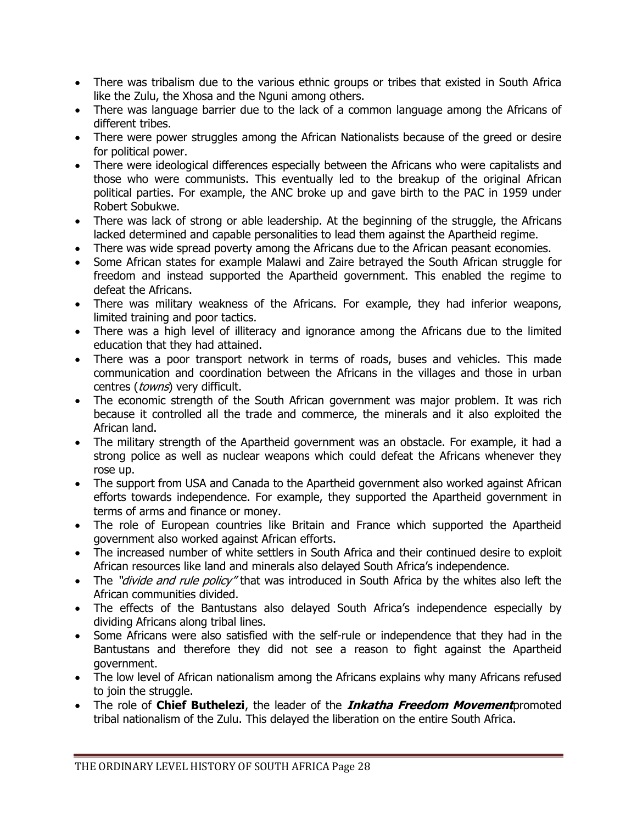- There was tribalism due to the various ethnic groups or tribes that existed in South Africa like the Zulu, the Xhosa and the Nguni among others.
- There was language barrier due to the lack of a common language among the Africans of different tribes.
- There were power struggles among the African Nationalists because of the greed or desire for political power.
- There were ideological differences especially between the Africans who were capitalists and those who were communists. This eventually led to the breakup of the original African political parties. For example, the ANC broke up and gave birth to the PAC in 1959 under Robert Sobukwe.
- There was lack of strong or able leadership. At the beginning of the struggle, the Africans lacked determined and capable personalities to lead them against the Apartheid regime.
- There was wide spread poverty among the Africans due to the African peasant economies.
- Some African states for example Malawi and Zaire betrayed the South African struggle for freedom and instead supported the Apartheid government. This enabled the regime to defeat the Africans.
- There was military weakness of the Africans. For example, they had inferior weapons, limited training and poor tactics.
- There was a high level of illiteracy and ignorance among the Africans due to the limited education that they had attained.
- There was a poor transport network in terms of roads, buses and vehicles. This made communication and coordination between the Africans in the villages and those in urban centres (towns) very difficult.
- The economic strength of the South African government was major problem. It was rich because it controlled all the trade and commerce, the minerals and it also exploited the African land.
- The military strength of the Apartheid government was an obstacle. For example, it had a strong police as well as nuclear weapons which could defeat the Africans whenever they rose up.
- The support from USA and Canada to the Apartheid government also worked against African efforts towards independence. For example, they supported the Apartheid government in terms of arms and finance or money.
- The role of European countries like Britain and France which supported the Apartheid government also worked against African efforts.
- The increased number of white settlers in South Africa and their continued desire to exploit African resources like land and minerals also delayed South Africa's independence.
- The "*divide and rule policy*" that was introduced in South Africa by the whites also left the African communities divided.
- The effects of the Bantustans also delayed South Africa's independence especially by dividing Africans along tribal lines.
- Some Africans were also satisfied with the self-rule or independence that they had in the Bantustans and therefore they did not see a reason to fight against the Apartheid government.
- The low level of African nationalism among the Africans explains why many Africans refused to join the struggle.
- The role of **Chief Buthelezi**, the leader of the **Inkatha Freedom Movement**promoted tribal nationalism of the Zulu. This delayed the liberation on the entire South Africa.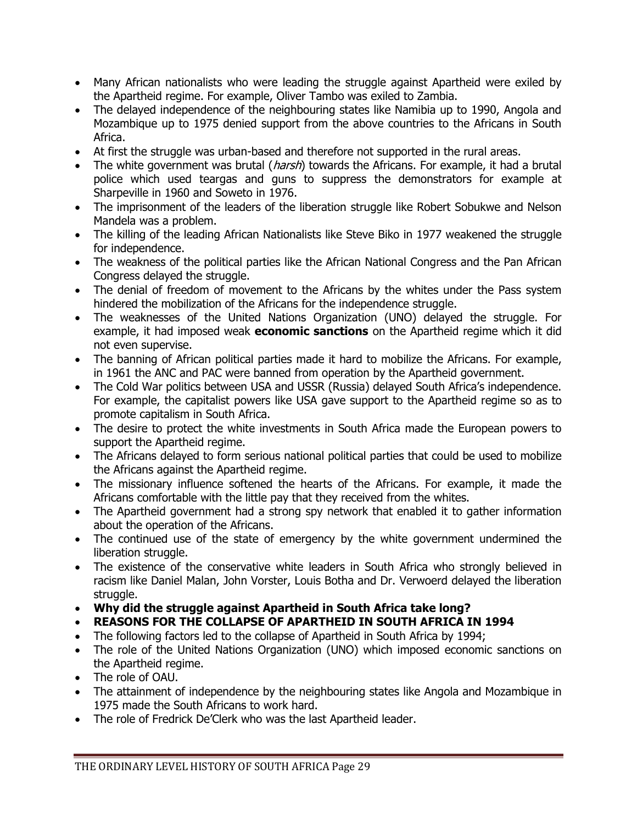- Many African nationalists who were leading the struggle against Apartheid were exiled by the Apartheid regime. For example, Oliver Tambo was exiled to Zambia.
- The delayed independence of the neighbouring states like Namibia up to 1990, Angola and Mozambique up to 1975 denied support from the above countries to the Africans in South Africa.
- At first the struggle was urban-based and therefore not supported in the rural areas.
- The white government was brutal (*harsh*) towards the Africans. For example, it had a brutal police which used teargas and guns to suppress the demonstrators for example at Sharpeville in 1960 and Soweto in 1976.
- The imprisonment of the leaders of the liberation struggle like Robert Sobukwe and Nelson Mandela was a problem.
- The killing of the leading African Nationalists like Steve Biko in 1977 weakened the struggle for independence.
- The weakness of the political parties like the African National Congress and the Pan African Congress delayed the struggle.
- The denial of freedom of movement to the Africans by the whites under the Pass system hindered the mobilization of the Africans for the independence struggle.
- The weaknesses of the United Nations Organization (UNO) delayed the struggle. For example, it had imposed weak **economic sanctions** on the Apartheid regime which it did not even supervise.
- The banning of African political parties made it hard to mobilize the Africans. For example, in 1961 the ANC and PAC were banned from operation by the Apartheid government.
- The Cold War politics between USA and USSR (Russia) delayed South Africa's independence. For example, the capitalist powers like USA gave support to the Apartheid regime so as to promote capitalism in South Africa.
- The desire to protect the white investments in South Africa made the European powers to support the Apartheid regime.
- The Africans delayed to form serious national political parties that could be used to mobilize the Africans against the Apartheid regime.
- The missionary influence softened the hearts of the Africans. For example, it made the Africans comfortable with the little pay that they received from the whites.
- The Apartheid government had a strong spy network that enabled it to gather information about the operation of the Africans.
- The continued use of the state of emergency by the white government undermined the liberation struggle.
- The existence of the conservative white leaders in South Africa who strongly believed in racism like Daniel Malan, John Vorster, Louis Botha and Dr. Verwoerd delayed the liberation struggle.
- **Why did the struggle against Apartheid in South Africa take long?**
- **REASONS FOR THE COLLAPSE OF APARTHEID IN SOUTH AFRICA IN 1994**
- The following factors led to the collapse of Apartheid in South Africa by 1994;
- The role of the United Nations Organization (UNO) which imposed economic sanctions on the Apartheid regime.
- The role of OAU.
- The attainment of independence by the neighbouring states like Angola and Mozambique in 1975 made the South Africans to work hard.
- The role of Fredrick De'Clerk who was the last Apartheid leader.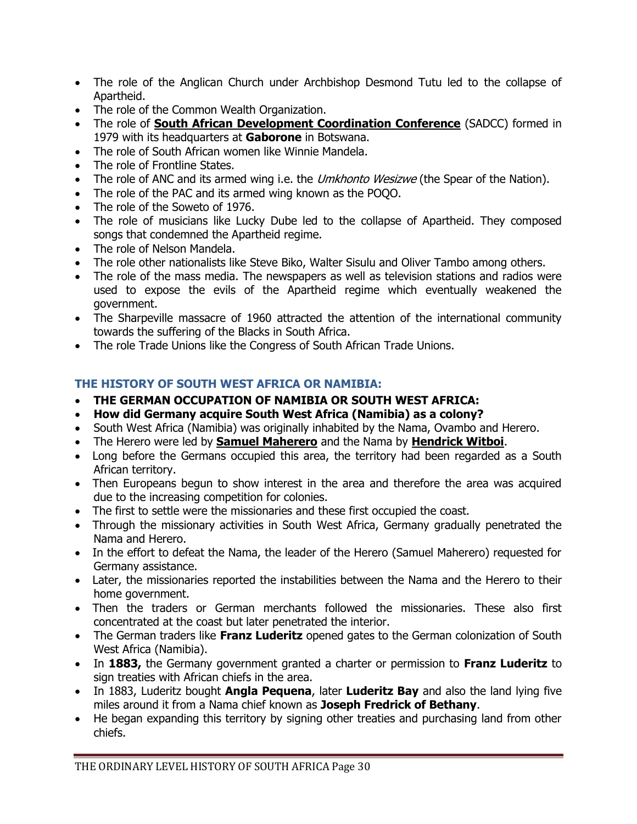- The role of the Anglican Church under Archbishop Desmond Tutu led to the collapse of Apartheid.
- The role of the Common Wealth Organization.
- The role of **South African Development Coordination Conference** (SADCC) formed in 1979 with its headquarters at **Gaborone** in Botswana.
- The role of South African women like Winnie Mandela.
- The role of Frontline States.
- The role of ANC and its armed wing i.e. the *Umkhonto Wesizwe* (the Spear of the Nation).
- The role of the PAC and its armed wing known as the POQO.
- The role of the Soweto of 1976.
- The role of musicians like Lucky Dube led to the collapse of Apartheid. They composed songs that condemned the Apartheid regime.
- The role of Nelson Mandela.
- The role other nationalists like Steve Biko, Walter Sisulu and Oliver Tambo among others.
- The role of the mass media. The newspapers as well as television stations and radios were used to expose the evils of the Apartheid regime which eventually weakened the government.
- The Sharpeville massacre of 1960 attracted the attention of the international community towards the suffering of the Blacks in South Africa.
- The role Trade Unions like the Congress of South African Trade Unions.

### **THE HISTORY OF SOUTH WEST AFRICA OR NAMIBIA:**

- **THE GERMAN OCCUPATION OF NAMIBIA OR SOUTH WEST AFRICA:**
- **How did Germany acquire South West Africa (Namibia) as a colony?**
- South West Africa (Namibia) was originally inhabited by the Nama, Ovambo and Herero.
- The Herero were led by **Samuel Maherero** and the Nama by **Hendrick Witboi**.
- Long before the Germans occupied this area, the territory had been regarded as a South African territory.
- Then Europeans begun to show interest in the area and therefore the area was acquired due to the increasing competition for colonies.
- The first to settle were the missionaries and these first occupied the coast.
- Through the missionary activities in South West Africa, Germany gradually penetrated the Nama and Herero.
- In the effort to defeat the Nama, the leader of the Herero (Samuel Maherero) requested for Germany assistance.
- Later, the missionaries reported the instabilities between the Nama and the Herero to their home government.
- Then the traders or German merchants followed the missionaries. These also first concentrated at the coast but later penetrated the interior.
- The German traders like **Franz Luderitz** opened gates to the German colonization of South West Africa (Namibia).
- In **1883,** the Germany government granted a charter or permission to **Franz Luderitz** to sign treaties with African chiefs in the area.
- In 1883, Luderitz bought **Angla Pequena**, later **Luderitz Bay** and also the land lying five miles around it from a Nama chief known as **Joseph Fredrick of Bethany**.
- He began expanding this territory by signing other treaties and purchasing land from other chiefs.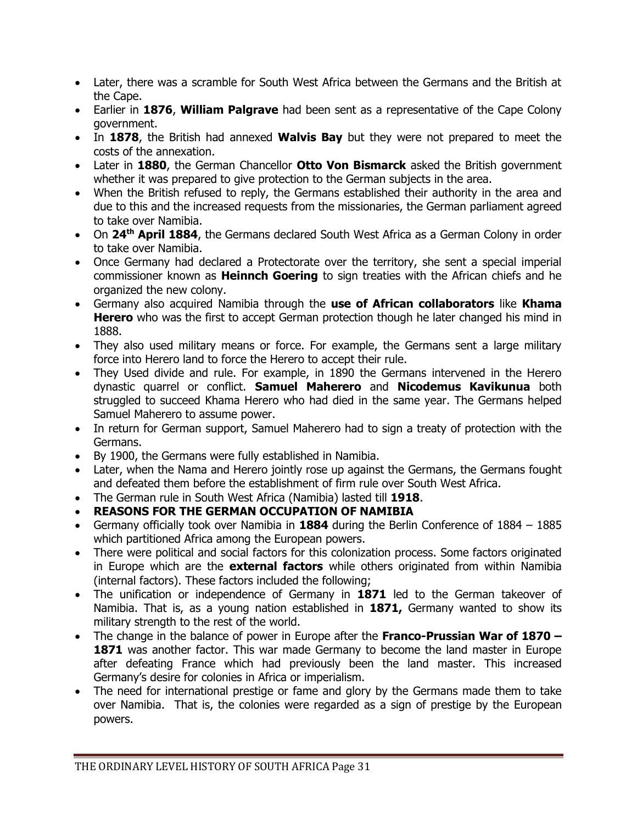- Later, there was a scramble for South West Africa between the Germans and the British at the Cape.
- Earlier in **1876**, **William Palgrave** had been sent as a representative of the Cape Colony government.
- In **1878**, the British had annexed **Walvis Bay** but they were not prepared to meet the costs of the annexation.
- Later in **1880**, the German Chancellor **Otto Von Bismarck** asked the British government whether it was prepared to give protection to the German subjects in the area.
- When the British refused to reply, the Germans established their authority in the area and due to this and the increased requests from the missionaries, the German parliament agreed to take over Namibia.
- On **24th April 1884**, the Germans declared South West Africa as a German Colony in order to take over Namibia.
- Once Germany had declared a Protectorate over the territory, she sent a special imperial commissioner known as **Heinnch Goering** to sign treaties with the African chiefs and he organized the new colony.
- Germany also acquired Namibia through the **use of African collaborators** like **Khama Herero** who was the first to accept German protection though he later changed his mind in 1888.
- They also used military means or force. For example, the Germans sent a large military force into Herero land to force the Herero to accept their rule.
- They Used divide and rule. For example, in 1890 the Germans intervened in the Herero dynastic quarrel or conflict. **Samuel Maherero** and **Nicodemus Kavikunua** both struggled to succeed Khama Herero who had died in the same year. The Germans helped Samuel Maherero to assume power.
- In return for German support, Samuel Maherero had to sign a treaty of protection with the Germans.
- By 1900, the Germans were fully established in Namibia.
- Later, when the Nama and Herero jointly rose up against the Germans, the Germans fought and defeated them before the establishment of firm rule over South West Africa.
- The German rule in South West Africa (Namibia) lasted till **1918**.
- **REASONS FOR THE GERMAN OCCUPATION OF NAMIBIA**
- Germany officially took over Namibia in **1884** during the Berlin Conference of 1884 1885 which partitioned Africa among the European powers.
- There were political and social factors for this colonization process. Some factors originated in Europe which are the **external factors** while others originated from within Namibia (internal factors). These factors included the following;
- The unification or independence of Germany in **1871** led to the German takeover of Namibia. That is, as a young nation established in **1871,** Germany wanted to show its military strength to the rest of the world.
- The change in the balance of power in Europe after the **Franco-Prussian War of 1870 – 1871** was another factor. This war made Germany to become the land master in Europe after defeating France which had previously been the land master. This increased Germany's desire for colonies in Africa or imperialism.
- The need for international prestige or fame and glory by the Germans made them to take over Namibia. That is, the colonies were regarded as a sign of prestige by the European powers.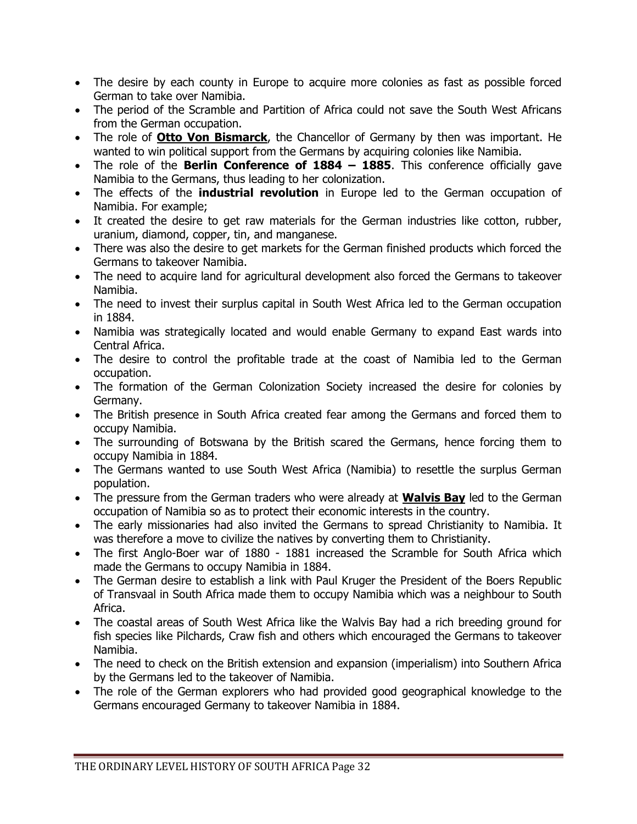- The desire by each county in Europe to acquire more colonies as fast as possible forced German to take over Namibia.
- The period of the Scramble and Partition of Africa could not save the South West Africans from the German occupation.
- The role of **Otto Von Bismarck**, the Chancellor of Germany by then was important. He wanted to win political support from the Germans by acquiring colonies like Namibia.
- The role of the **Berlin Conference of 1884 – 1885**. This conference officially gave Namibia to the Germans, thus leading to her colonization.
- The effects of the **industrial revolution** in Europe led to the German occupation of Namibia. For example;
- It created the desire to get raw materials for the German industries like cotton, rubber, uranium, diamond, copper, tin, and manganese.
- There was also the desire to get markets for the German finished products which forced the Germans to takeover Namibia.
- The need to acquire land for agricultural development also forced the Germans to takeover Namibia.
- The need to invest their surplus capital in South West Africa led to the German occupation in 1884.
- Namibia was strategically located and would enable Germany to expand East wards into Central Africa.
- The desire to control the profitable trade at the coast of Namibia led to the German occupation.
- The formation of the German Colonization Society increased the desire for colonies by Germany.
- The British presence in South Africa created fear among the Germans and forced them to occupy Namibia.
- The surrounding of Botswana by the British scared the Germans, hence forcing them to occupy Namibia in 1884.
- The Germans wanted to use South West Africa (Namibia) to resettle the surplus German population.
- The pressure from the German traders who were already at **Walvis Bay** led to the German occupation of Namibia so as to protect their economic interests in the country.
- The early missionaries had also invited the Germans to spread Christianity to Namibia. It was therefore a move to civilize the natives by converting them to Christianity.
- The first Anglo-Boer war of 1880 1881 increased the Scramble for South Africa which made the Germans to occupy Namibia in 1884.
- The German desire to establish a link with Paul Kruger the President of the Boers Republic of Transvaal in South Africa made them to occupy Namibia which was a neighbour to South Africa.
- The coastal areas of South West Africa like the Walvis Bay had a rich breeding ground for fish species like Pilchards, Craw fish and others which encouraged the Germans to takeover Namibia.
- The need to check on the British extension and expansion (imperialism) into Southern Africa by the Germans led to the takeover of Namibia.
- The role of the German explorers who had provided good geographical knowledge to the Germans encouraged Germany to takeover Namibia in 1884.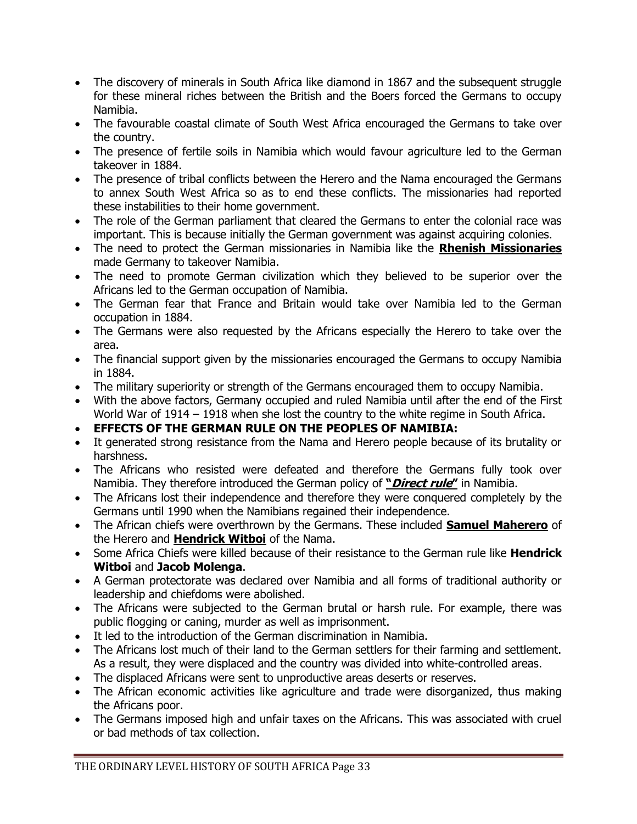- The discovery of minerals in South Africa like diamond in 1867 and the subsequent struggle for these mineral riches between the British and the Boers forced the Germans to occupy Namibia.
- The favourable coastal climate of South West Africa encouraged the Germans to take over the country.
- The presence of fertile soils in Namibia which would favour agriculture led to the German takeover in 1884.
- The presence of tribal conflicts between the Herero and the Nama encouraged the Germans to annex South West Africa so as to end these conflicts. The missionaries had reported these instabilities to their home government.
- The role of the German parliament that cleared the Germans to enter the colonial race was important. This is because initially the German government was against acquiring colonies.
- The need to protect the German missionaries in Namibia like the **Rhenish Missionaries** made Germany to takeover Namibia.
- The need to promote German civilization which they believed to be superior over the Africans led to the German occupation of Namibia.
- The German fear that France and Britain would take over Namibia led to the German occupation in 1884.
- The Germans were also requested by the Africans especially the Herero to take over the area.
- The financial support given by the missionaries encouraged the Germans to occupy Namibia in 1884.
- The military superiority or strength of the Germans encouraged them to occupy Namibia.
- With the above factors, Germany occupied and ruled Namibia until after the end of the First World War of 1914 – 1918 when she lost the country to the white regime in South Africa.
- **EFFECTS OF THE GERMAN RULE ON THE PEOPLES OF NAMIBIA:**
- It generated strong resistance from the Nama and Herero people because of its brutality or harshness.
- The Africans who resisted were defeated and therefore the Germans fully took over Namibia. They therefore introduced the German policy of **"Direct rule"** in Namibia.
- The Africans lost their independence and therefore they were conquered completely by the Germans until 1990 when the Namibians regained their independence.
- The African chiefs were overthrown by the Germans. These included **Samuel Maherero** of the Herero and **Hendrick Witboi** of the Nama.
- Some Africa Chiefs were killed because of their resistance to the German rule like **Hendrick Witboi** and **Jacob Molenga**.
- A German protectorate was declared over Namibia and all forms of traditional authority or leadership and chiefdoms were abolished.
- The Africans were subjected to the German brutal or harsh rule. For example, there was public flogging or caning, murder as well as imprisonment.
- It led to the introduction of the German discrimination in Namibia.
- The Africans lost much of their land to the German settlers for their farming and settlement. As a result, they were displaced and the country was divided into white-controlled areas.
- The displaced Africans were sent to unproductive areas deserts or reserves.
- The African economic activities like agriculture and trade were disorganized, thus making the Africans poor.
- The Germans imposed high and unfair taxes on the Africans. This was associated with cruel or bad methods of tax collection.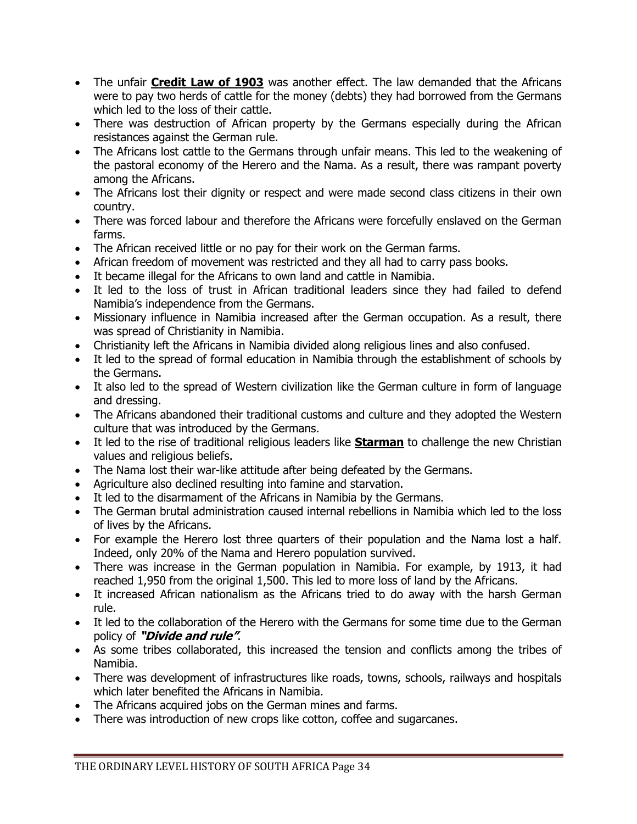- The unfair **Credit Law of 1903** was another effect. The law demanded that the Africans were to pay two herds of cattle for the money (debts) they had borrowed from the Germans which led to the loss of their cattle.
- There was destruction of African property by the Germans especially during the African resistances against the German rule.
- The Africans lost cattle to the Germans through unfair means. This led to the weakening of the pastoral economy of the Herero and the Nama. As a result, there was rampant poverty among the Africans.
- The Africans lost their dignity or respect and were made second class citizens in their own country.
- There was forced labour and therefore the Africans were forcefully enslaved on the German farms.
- The African received little or no pay for their work on the German farms.
- African freedom of movement was restricted and they all had to carry pass books.
- It became illegal for the Africans to own land and cattle in Namibia.
- It led to the loss of trust in African traditional leaders since they had failed to defend Namibia's independence from the Germans.
- Missionary influence in Namibia increased after the German occupation. As a result, there was spread of Christianity in Namibia.
- Christianity left the Africans in Namibia divided along religious lines and also confused.
- It led to the spread of formal education in Namibia through the establishment of schools by the Germans.
- It also led to the spread of Western civilization like the German culture in form of language and dressing.
- The Africans abandoned their traditional customs and culture and they adopted the Western culture that was introduced by the Germans.
- It led to the rise of traditional religious leaders like **Starman** to challenge the new Christian values and religious beliefs.
- The Nama lost their war-like attitude after being defeated by the Germans.
- Agriculture also declined resulting into famine and starvation.
- It led to the disarmament of the Africans in Namibia by the Germans.
- The German brutal administration caused internal rebellions in Namibia which led to the loss of lives by the Africans.
- For example the Herero lost three quarters of their population and the Nama lost a half. Indeed, only 20% of the Nama and Herero population survived.
- There was increase in the German population in Namibia. For example, by 1913, it had reached 1,950 from the original 1,500. This led to more loss of land by the Africans.
- It increased African nationalism as the Africans tried to do away with the harsh German rule.
- It led to the collaboration of the Herero with the Germans for some time due to the German policy of **"Divide and rule"**.
- As some tribes collaborated, this increased the tension and conflicts among the tribes of Namibia.
- There was development of infrastructures like roads, towns, schools, railways and hospitals which later benefited the Africans in Namibia.
- The Africans acquired jobs on the German mines and farms.
- There was introduction of new crops like cotton, coffee and sugarcanes.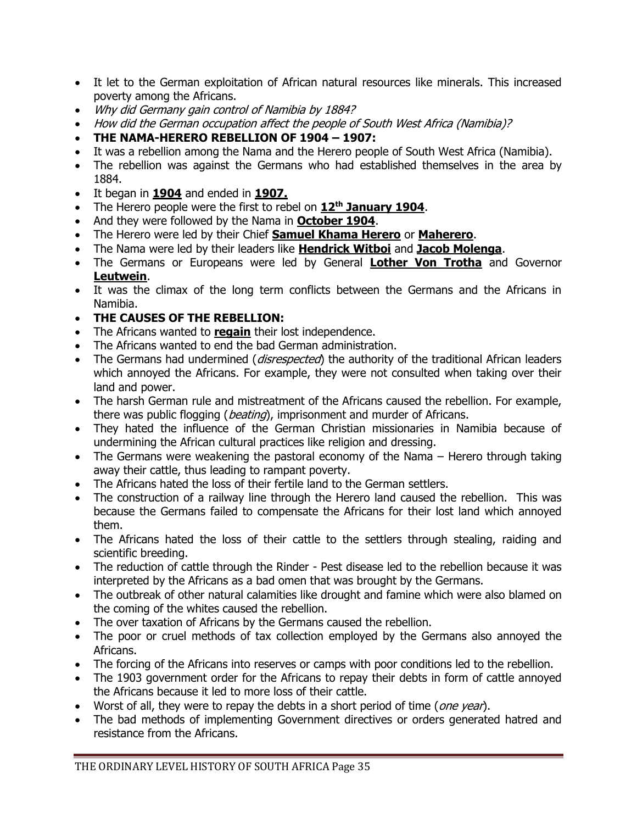- It let to the German exploitation of African natural resources like minerals. This increased poverty among the Africans.
- Why did Germany gain control of Namibia by 1884?
- How did the German occupation affect the people of South West Africa (Namibia)?
- **THE NAMA-HERERO REBELLION OF 1904 – 1907:**
- It was a rebellion among the Nama and the Herero people of South West Africa (Namibia).
- The rebellion was against the Germans who had established themselves in the area by 1884.
- It began in **1904** and ended in **1907.**
- The Herero people were the first to rebel on **12th January 1904**.
- And they were followed by the Nama in **October 1904**.
- The Herero were led by their Chief **Samuel Khama Herero** or **Maherero**.
- The Nama were led by their leaders like **Hendrick Witboi** and **Jacob Molenga**.
- The Germans or Europeans were led by General **Lother Von Trotha** and Governor **Leutwein**.
- It was the climax of the long term conflicts between the Germans and the Africans in Namibia.
- **THE CAUSES OF THE REBELLION:**
- The Africans wanted to **regain** their lost independence.
- The Africans wanted to end the bad German administration.
- The Germans had undermined (*disrespected*) the authority of the traditional African leaders which annoyed the Africans. For example, they were not consulted when taking over their land and power.
- The harsh German rule and mistreatment of the Africans caused the rebellion. For example, there was public flogging (*beating*), imprisonment and murder of Africans.
- They hated the influence of the German Christian missionaries in Namibia because of undermining the African cultural practices like religion and dressing.
- The Germans were weakening the pastoral economy of the Nama Herero through taking away their cattle, thus leading to rampant poverty.
- The Africans hated the loss of their fertile land to the German settlers.
- The construction of a railway line through the Herero land caused the rebellion. This was because the Germans failed to compensate the Africans for their lost land which annoyed them.
- The Africans hated the loss of their cattle to the settlers through stealing, raiding and scientific breeding.
- The reduction of cattle through the Rinder Pest disease led to the rebellion because it was interpreted by the Africans as a bad omen that was brought by the Germans.
- The outbreak of other natural calamities like drought and famine which were also blamed on the coming of the whites caused the rebellion.
- The over taxation of Africans by the Germans caused the rebellion.
- The poor or cruel methods of tax collection employed by the Germans also annoyed the Africans.
- The forcing of the Africans into reserves or camps with poor conditions led to the rebellion.
- The 1903 government order for the Africans to repay their debts in form of cattle annoyed the Africans because it led to more loss of their cattle.
- Worst of all, they were to repay the debts in a short period of time (*one year*).
- The bad methods of implementing Government directives or orders generated hatred and resistance from the Africans.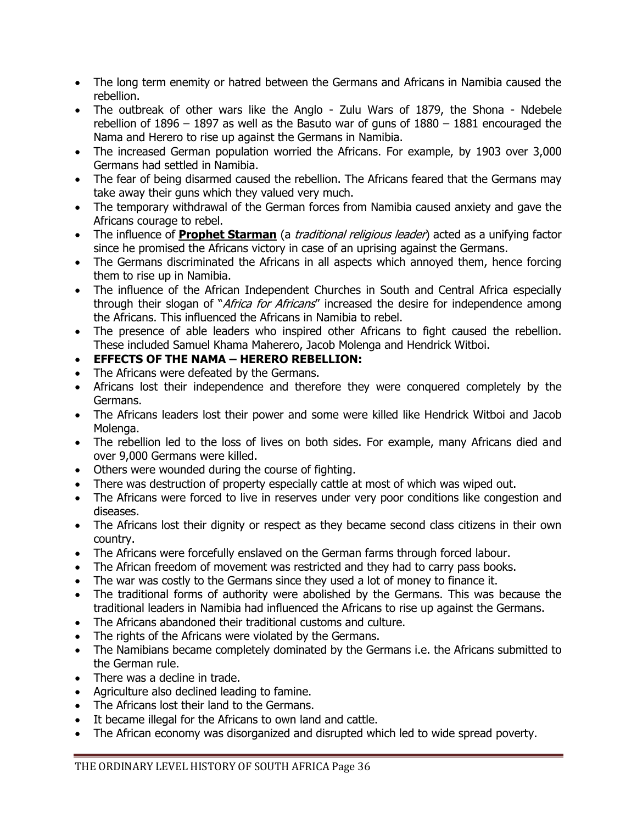- The long term enemity or hatred between the Germans and Africans in Namibia caused the rebellion.
- The outbreak of other wars like the Anglo Zulu Wars of 1879, the Shona Ndebele rebellion of 1896 – 1897 as well as the Basuto war of guns of 1880 – 1881 encouraged the Nama and Herero to rise up against the Germans in Namibia.
- The increased German population worried the Africans. For example, by 1903 over 3,000 Germans had settled in Namibia.
- The fear of being disarmed caused the rebellion. The Africans feared that the Germans may take away their guns which they valued very much.
- The temporary withdrawal of the German forces from Namibia caused anxiety and gave the Africans courage to rebel.
- The influence of **Prophet Starman** (a *traditional religious leader*) acted as a unifying factor since he promised the Africans victory in case of an uprising against the Germans.
- The Germans discriminated the Africans in all aspects which annoyed them, hence forcing them to rise up in Namibia.
- The influence of the African Independent Churches in South and Central Africa especially through their slogan of "Africa for Africans" increased the desire for independence among the Africans. This influenced the Africans in Namibia to rebel.
- The presence of able leaders who inspired other Africans to fight caused the rebellion. These included Samuel Khama Maherero, Jacob Molenga and Hendrick Witboi.
- **EFFECTS OF THE NAMA – HERERO REBELLION:**
- The Africans were defeated by the Germans.
- Africans lost their independence and therefore they were conquered completely by the Germans.
- The Africans leaders lost their power and some were killed like Hendrick Witboi and Jacob Molenga.
- The rebellion led to the loss of lives on both sides. For example, many Africans died and over 9,000 Germans were killed.
- Others were wounded during the course of fighting.
- There was destruction of property especially cattle at most of which was wiped out.
- The Africans were forced to live in reserves under very poor conditions like congestion and diseases.
- The Africans lost their dignity or respect as they became second class citizens in their own country.
- The Africans were forcefully enslaved on the German farms through forced labour.
- The African freedom of movement was restricted and they had to carry pass books.
- The war was costly to the Germans since they used a lot of money to finance it.
- The traditional forms of authority were abolished by the Germans. This was because the traditional leaders in Namibia had influenced the Africans to rise up against the Germans.
- The Africans abandoned their traditional customs and culture.
- The rights of the Africans were violated by the Germans.
- The Namibians became completely dominated by the Germans i.e. the Africans submitted to the German rule.
- There was a decline in trade.
- Agriculture also declined leading to famine.
- The Africans lost their land to the Germans.
- It became illegal for the Africans to own land and cattle.
- The African economy was disorganized and disrupted which led to wide spread poverty.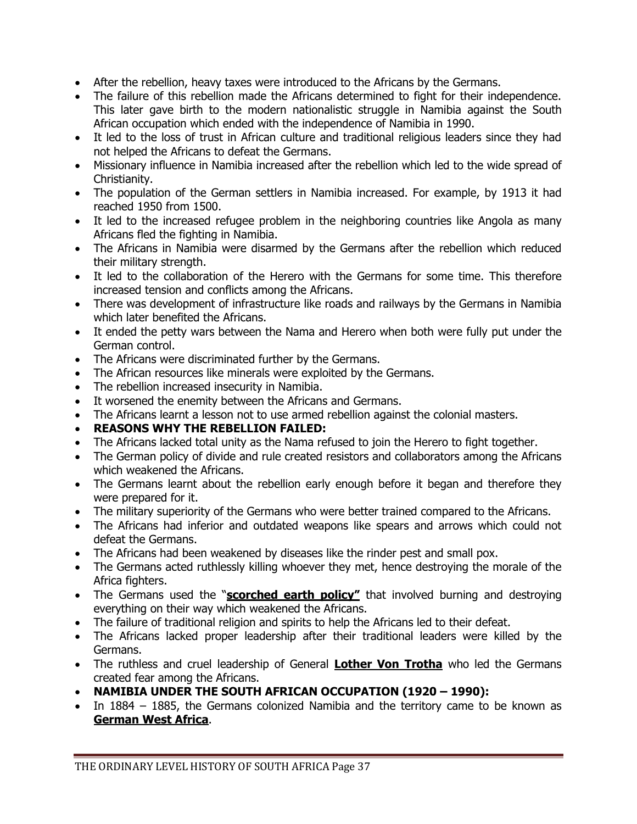- After the rebellion, heavy taxes were introduced to the Africans by the Germans.
- The failure of this rebellion made the Africans determined to fight for their independence. This later gave birth to the modern nationalistic struggle in Namibia against the South African occupation which ended with the independence of Namibia in 1990.
- It led to the loss of trust in African culture and traditional religious leaders since they had not helped the Africans to defeat the Germans.
- Missionary influence in Namibia increased after the rebellion which led to the wide spread of Christianity.
- The population of the German settlers in Namibia increased. For example, by 1913 it had reached 1950 from 1500.
- It led to the increased refugee problem in the neighboring countries like Angola as many Africans fled the fighting in Namibia.
- The Africans in Namibia were disarmed by the Germans after the rebellion which reduced their military strength.
- It led to the collaboration of the Herero with the Germans for some time. This therefore increased tension and conflicts among the Africans.
- There was development of infrastructure like roads and railways by the Germans in Namibia which later benefited the Africans.
- It ended the petty wars between the Nama and Herero when both were fully put under the German control.
- The Africans were discriminated further by the Germans.
- The African resources like minerals were exploited by the Germans.
- The rebellion increased insecurity in Namibia.
- It worsened the enemity between the Africans and Germans.
- The Africans learnt a lesson not to use armed rebellion against the colonial masters.
- **REASONS WHY THE REBELLION FAILED:**
- The Africans lacked total unity as the Nama refused to join the Herero to fight together.
- The German policy of divide and rule created resistors and collaborators among the Africans which weakened the Africans.
- The Germans learnt about the rebellion early enough before it began and therefore they were prepared for it.
- The military superiority of the Germans who were better trained compared to the Africans.
- The Africans had inferior and outdated weapons like spears and arrows which could not defeat the Germans.
- The Africans had been weakened by diseases like the rinder pest and small pox.
- The Germans acted ruthlessly killing whoever they met, hence destroying the morale of the Africa fighters.
- The Germans used the "**scorched earth policy"** that involved burning and destroying everything on their way which weakened the Africans.
- The failure of traditional religion and spirits to help the Africans led to their defeat.
- The Africans lacked proper leadership after their traditional leaders were killed by the Germans.
- The ruthless and cruel leadership of General **Lother Von Trotha** who led the Germans created fear among the Africans.
- **NAMIBIA UNDER THE SOUTH AFRICAN OCCUPATION (1920 – 1990):**
- In 1884 1885, the Germans colonized Namibia and the territory came to be known as **German West Africa**.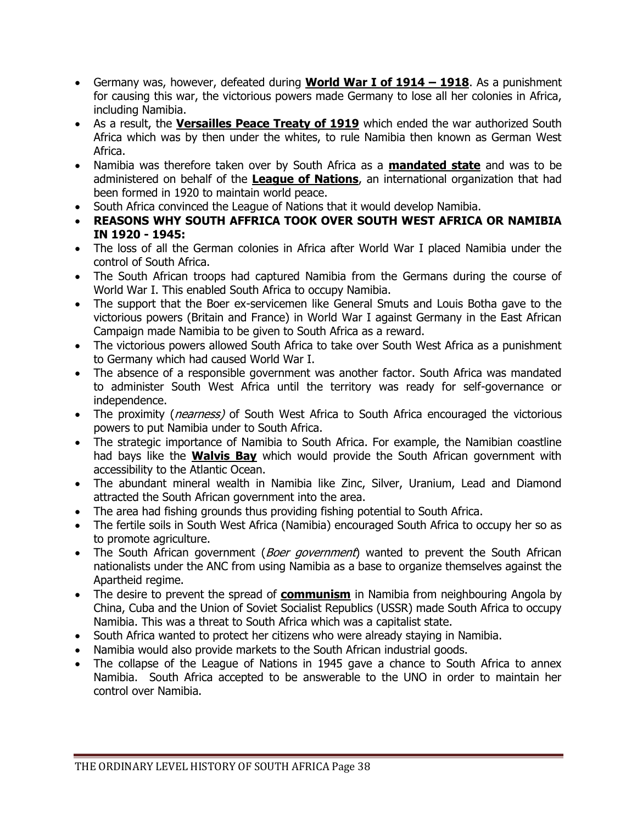- Germany was, however, defeated during **World War I of 1914 – 1918**. As a punishment for causing this war, the victorious powers made Germany to lose all her colonies in Africa, including Namibia.
- As a result, the **Versailles Peace Treaty of 1919** which ended the war authorized South Africa which was by then under the whites, to rule Namibia then known as German West Africa.
- Namibia was therefore taken over by South Africa as a **mandated state** and was to be administered on behalf of the **League of Nations**, an international organization that had been formed in 1920 to maintain world peace.
- South Africa convinced the League of Nations that it would develop Namibia.
- **REASONS WHY SOUTH AFFRICA TOOK OVER SOUTH WEST AFRICA OR NAMIBIA IN 1920 - 1945:**
- The loss of all the German colonies in Africa after World War I placed Namibia under the control of South Africa.
- The South African troops had captured Namibia from the Germans during the course of World War I. This enabled South Africa to occupy Namibia.
- The support that the Boer ex-servicemen like General Smuts and Louis Botha gave to the victorious powers (Britain and France) in World War I against Germany in the East African Campaign made Namibia to be given to South Africa as a reward.
- The victorious powers allowed South Africa to take over South West Africa as a punishment to Germany which had caused World War I.
- The absence of a responsible government was another factor. South Africa was mandated to administer South West Africa until the territory was ready for self-governance or independence.
- The proximity (*nearness*) of South West Africa to South Africa encouraged the victorious powers to put Namibia under to South Africa.
- The strategic importance of Namibia to South Africa. For example, the Namibian coastline had bays like the **Walvis Bay** which would provide the South African government with accessibility to the Atlantic Ocean.
- The abundant mineral wealth in Namibia like Zinc, Silver, Uranium, Lead and Diamond attracted the South African government into the area.
- The area had fishing grounds thus providing fishing potential to South Africa.
- The fertile soils in South West Africa (Namibia) encouraged South Africa to occupy her so as to promote agriculture.
- The South African government (*Boer government*) wanted to prevent the South African nationalists under the ANC from using Namibia as a base to organize themselves against the Apartheid regime.
- The desire to prevent the spread of **communism** in Namibia from neighbouring Angola by China, Cuba and the Union of Soviet Socialist Republics (USSR) made South Africa to occupy Namibia. This was a threat to South Africa which was a capitalist state.
- South Africa wanted to protect her citizens who were already staying in Namibia.
- Namibia would also provide markets to the South African industrial goods.
- The collapse of the League of Nations in 1945 gave a chance to South Africa to annex Namibia. South Africa accepted to be answerable to the UNO in order to maintain her control over Namibia.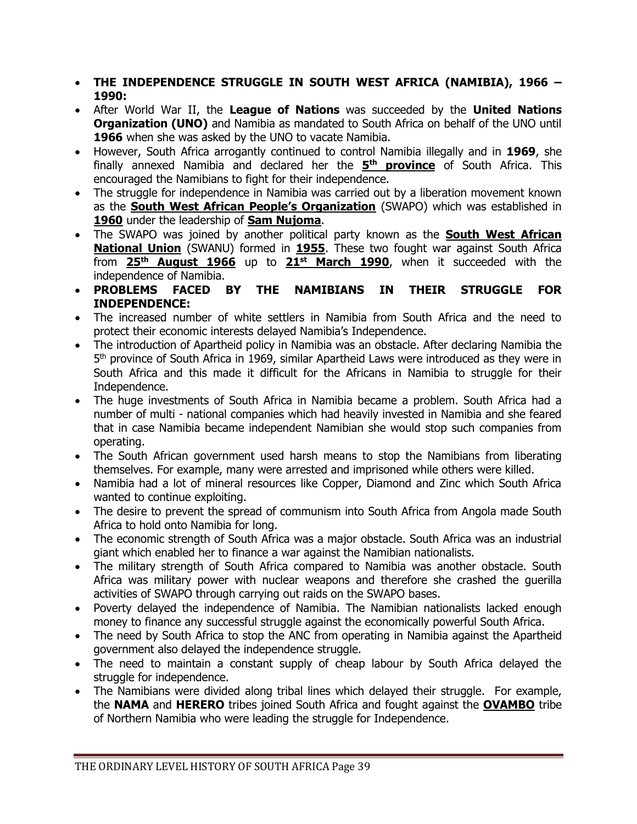- **THE INDEPENDENCE STRUGGLE IN SOUTH WEST AFRICA (NAMIBIA), 1966 – 1990:**
- After World War II, the **League of Nations** was succeeded by the **United Nations Organization (UNO)** and Namibia as mandated to South Africa on behalf of the UNO until **1966** when she was asked by the UNO to vacate Namibia.
- However, South Africa arrogantly continued to control Namibia illegally and in **1969**, she finally annexed Namibia and declared her the **5 th province** of South Africa. This encouraged the Namibians to fight for their independence.
- The struggle for independence in Namibia was carried out by a liberation movement known as the **South West African People's Organization** (SWAPO) which was established in **1960** under the leadership of **Sam Nujoma**.
- The SWAPO was joined by another political party known as the **South West African National Union** (SWANU) formed in **1955**. These two fought war against South Africa from **25th August 1966** up to **21st March 1990**, when it succeeded with the independence of Namibia.
- **PROBLEMS FACED BY THE NAMIBIANS IN THEIR STRUGGLE FOR INDEPENDENCE:**
- The increased number of white settlers in Namibia from South Africa and the need to protect their economic interests delayed Namibia's Independence.
- The introduction of Apartheid policy in Namibia was an obstacle. After declaring Namibia the 5<sup>th</sup> province of South Africa in 1969, similar Apartheid Laws were introduced as they were in South Africa and this made it difficult for the Africans in Namibia to struggle for their Independence.
- The huge investments of South Africa in Namibia became a problem. South Africa had a number of multi - national companies which had heavily invested in Namibia and she feared that in case Namibia became independent Namibian she would stop such companies from operating.
- The South African government used harsh means to stop the Namibians from liberating themselves. For example, many were arrested and imprisoned while others were killed.
- Namibia had a lot of mineral resources like Copper, Diamond and Zinc which South Africa wanted to continue exploiting.
- The desire to prevent the spread of communism into South Africa from Angola made South Africa to hold onto Namibia for long.
- The economic strength of South Africa was a major obstacle. South Africa was an industrial giant which enabled her to finance a war against the Namibian nationalists.
- The military strength of South Africa compared to Namibia was another obstacle. South Africa was military power with nuclear weapons and therefore she crashed the guerilla activities of SWAPO through carrying out raids on the SWAPO bases.
- Poverty delayed the independence of Namibia. The Namibian nationalists lacked enough money to finance any successful struggle against the economically powerful South Africa.
- The need by South Africa to stop the ANC from operating in Namibia against the Apartheid government also delayed the independence struggle.
- The need to maintain a constant supply of cheap labour by South Africa delayed the struggle for independence.
- The Namibians were divided along tribal lines which delayed their struggle. For example, the **NAMA** and **HERERO** tribes joined South Africa and fought against the **OVAMBO** tribe of Northern Namibia who were leading the struggle for Independence.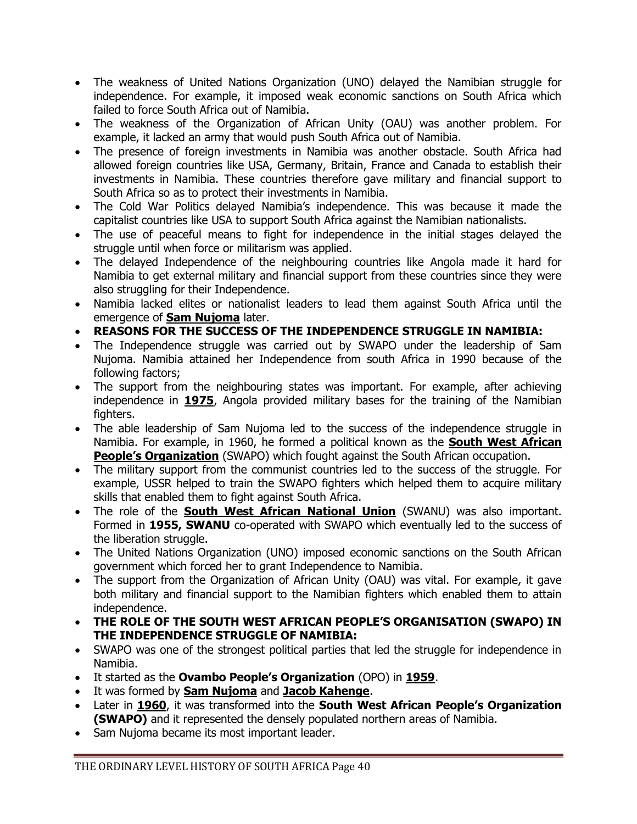- The weakness of United Nations Organization (UNO) delayed the Namibian struggle for independence. For example, it imposed weak economic sanctions on South Africa which failed to force South Africa out of Namibia.
- The weakness of the Organization of African Unity (OAU) was another problem. For example, it lacked an army that would push South Africa out of Namibia.
- The presence of foreign investments in Namibia was another obstacle. South Africa had allowed foreign countries like USA, Germany, Britain, France and Canada to establish their investments in Namibia. These countries therefore gave military and financial support to South Africa so as to protect their investments in Namibia.
- The Cold War Politics delayed Namibia's independence. This was because it made the capitalist countries like USA to support South Africa against the Namibian nationalists.
- The use of peaceful means to fight for independence in the initial stages delayed the struggle until when force or militarism was applied.
- The delayed Independence of the neighbouring countries like Angola made it hard for Namibia to get external military and financial support from these countries since they were also struggling for their Independence.
- Namibia lacked elites or nationalist leaders to lead them against South Africa until the emergence of **Sam Nujoma** later.
- **REASONS FOR THE SUCCESS OF THE INDEPENDENCE STRUGGLE IN NAMIBIA:**
- The Independence struggle was carried out by SWAPO under the leadership of Sam Nujoma. Namibia attained her Independence from south Africa in 1990 because of the following factors;
- The support from the neighbouring states was important. For example, after achieving independence in **1975**, Angola provided military bases for the training of the Namibian fighters.
- The able leadership of Sam Nujoma led to the success of the independence struggle in Namibia. For example, in 1960, he formed a political known as the **South West African People's Organization** (SWAPO) which fought against the South African occupation.
- The military support from the communist countries led to the success of the struggle. For example, USSR helped to train the SWAPO fighters which helped them to acquire military skills that enabled them to fight against South Africa.
- The role of the **South West African National Union** (SWANU) was also important. Formed in **1955, SWANU** co-operated with SWAPO which eventually led to the success of the liberation struggle.
- The United Nations Organization (UNO) imposed economic sanctions on the South African government which forced her to grant Independence to Namibia.
- The support from the Organization of African Unity (OAU) was vital. For example, it gave both military and financial support to the Namibian fighters which enabled them to attain independence.
- **THE ROLE OF THE SOUTH WEST AFRICAN PEOPLE'S ORGANISATION (SWAPO) IN THE INDEPENDENCE STRUGGLE OF NAMIBIA:**
- SWAPO was one of the strongest political parties that led the struggle for independence in Namibia.
- It started as the **Ovambo People's Organization** (OPO) in **1959**.
- It was formed by **Sam Nujoma** and **Jacob Kahenge**.
- Later in **1960**, it was transformed into the **South West African People's Organization (SWAPO)** and it represented the densely populated northern areas of Namibia.
- Sam Nujoma became its most important leader.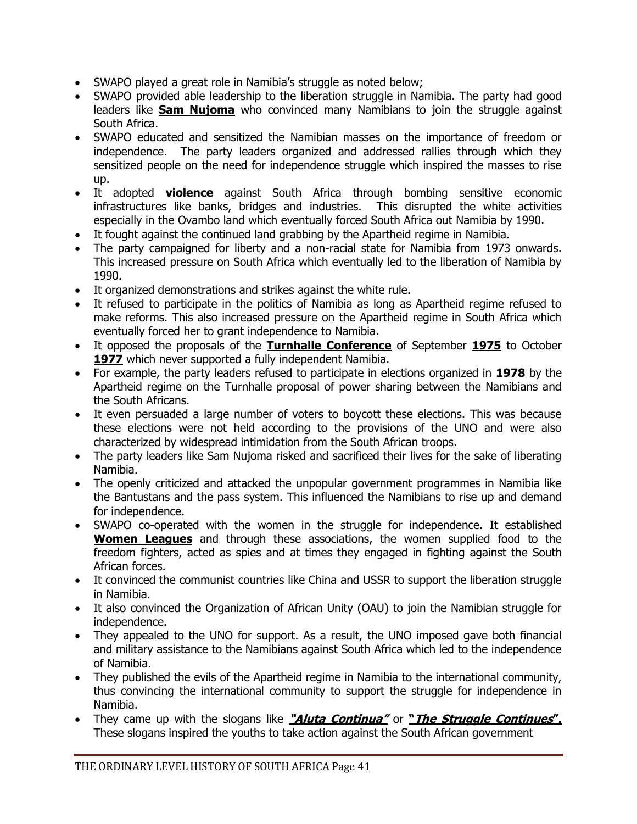- SWAPO played a great role in Namibia's struggle as noted below;
- SWAPO provided able leadership to the liberation struggle in Namibia. The party had good leaders like **Sam Nujoma** who convinced many Namibians to join the struggle against South Africa.
- SWAPO educated and sensitized the Namibian masses on the importance of freedom or independence. The party leaders organized and addressed rallies through which they sensitized people on the need for independence struggle which inspired the masses to rise up.
- It adopted **violence** against South Africa through bombing sensitive economic infrastructures like banks, bridges and industries. This disrupted the white activities especially in the Ovambo land which eventually forced South Africa out Namibia by 1990.
- It fought against the continued land grabbing by the Apartheid regime in Namibia.
- The party campaigned for liberty and a non-racial state for Namibia from 1973 onwards. This increased pressure on South Africa which eventually led to the liberation of Namibia by 1990.
- It organized demonstrations and strikes against the white rule.
- It refused to participate in the politics of Namibia as long as Apartheid regime refused to make reforms. This also increased pressure on the Apartheid regime in South Africa which eventually forced her to grant independence to Namibia.
- It opposed the proposals of the **Turnhalle Conference** of September **1975** to October 1977 which never supported a fully independent Namibia.
- For example, the party leaders refused to participate in elections organized in **1978** by the Apartheid regime on the Turnhalle proposal of power sharing between the Namibians and the South Africans.
- It even persuaded a large number of voters to boycott these elections. This was because these elections were not held according to the provisions of the UNO and were also characterized by widespread intimidation from the South African troops.
- The party leaders like Sam Nujoma risked and sacrificed their lives for the sake of liberating Namibia.
- The openly criticized and attacked the unpopular government programmes in Namibia like the Bantustans and the pass system. This influenced the Namibians to rise up and demand for independence.
- SWAPO co-operated with the women in the struggle for independence. It established **Women Leagues** and through these associations, the women supplied food to the freedom fighters, acted as spies and at times they engaged in fighting against the South African forces.
- It convinced the communist countries like China and USSR to support the liberation struggle in Namibia.
- It also convinced the Organization of African Unity (OAU) to join the Namibian struggle for independence.
- They appealed to the UNO for support. As a result, the UNO imposed gave both financial and military assistance to the Namibians against South Africa which led to the independence of Namibia.
- They published the evils of the Apartheid regime in Namibia to the international community, thus convincing the international community to support the struggle for independence in Namibia.
- They came up with the slogans like **"Aluta Continua"** or **"The Struggle Continues".** These slogans inspired the youths to take action against the South African government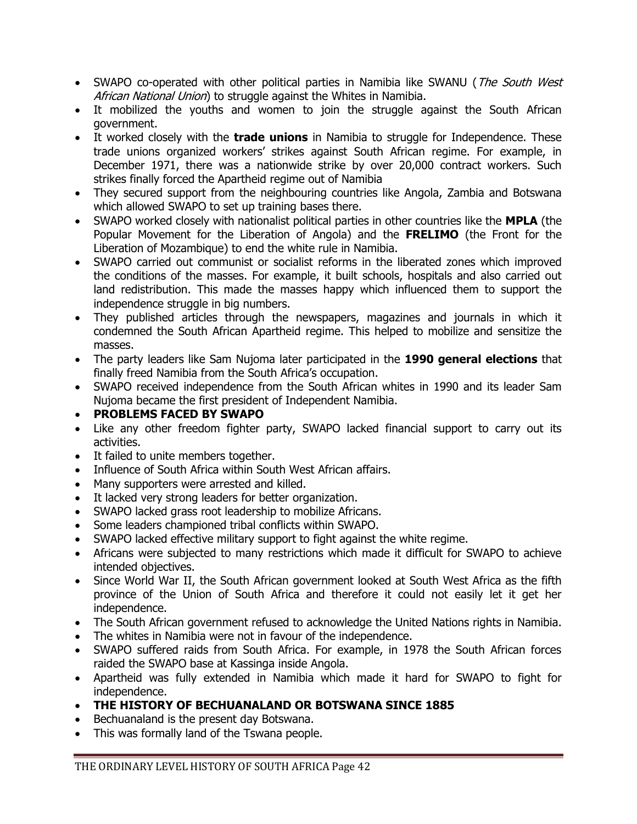- SWAPO co-operated with other political parties in Namibia like SWANU (*The South West* African National Union) to struggle against the Whites in Namibia.
- It mobilized the youths and women to join the struggle against the South African government.
- It worked closely with the **trade unions** in Namibia to struggle for Independence. These trade unions organized workers' strikes against South African regime. For example, in December 1971, there was a nationwide strike by over 20,000 contract workers. Such strikes finally forced the Apartheid regime out of Namibia
- They secured support from the neighbouring countries like Angola, Zambia and Botswana which allowed SWAPO to set up training bases there.
- SWAPO worked closely with nationalist political parties in other countries like the **MPLA** (the Popular Movement for the Liberation of Angola) and the **FRELIMO** (the Front for the Liberation of Mozambique) to end the white rule in Namibia.
- SWAPO carried out communist or socialist reforms in the liberated zones which improved the conditions of the masses. For example, it built schools, hospitals and also carried out land redistribution. This made the masses happy which influenced them to support the independence struggle in big numbers.
- They published articles through the newspapers, magazines and journals in which it condemned the South African Apartheid regime. This helped to mobilize and sensitize the masses.
- The party leaders like Sam Nujoma later participated in the **1990 general elections** that finally freed Namibia from the South Africa's occupation.
- SWAPO received independence from the South African whites in 1990 and its leader Sam Nujoma became the first president of Independent Namibia.
- **PROBLEMS FACED BY SWAPO**
- Like any other freedom fighter party, SWAPO lacked financial support to carry out its activities.
- It failed to unite members together.
- Influence of South Africa within South West African affairs.
- Many supporters were arrested and killed.
- It lacked very strong leaders for better organization.
- SWAPO lacked grass root leadership to mobilize Africans.
- Some leaders championed tribal conflicts within SWAPO.
- SWAPO lacked effective military support to fight against the white regime.
- Africans were subjected to many restrictions which made it difficult for SWAPO to achieve intended objectives.
- Since World War II, the South African government looked at South West Africa as the fifth province of the Union of South Africa and therefore it could not easily let it get her independence.
- The South African government refused to acknowledge the United Nations rights in Namibia.
- The whites in Namibia were not in favour of the independence.
- SWAPO suffered raids from South Africa. For example, in 1978 the South African forces raided the SWAPO base at Kassinga inside Angola.
- Apartheid was fully extended in Namibia which made it hard for SWAPO to fight for independence.
- **THE HISTORY OF BECHUANALAND OR BOTSWANA SINCE 1885**
- Bechuanaland is the present day Botswana.
- This was formally land of the Tswana people.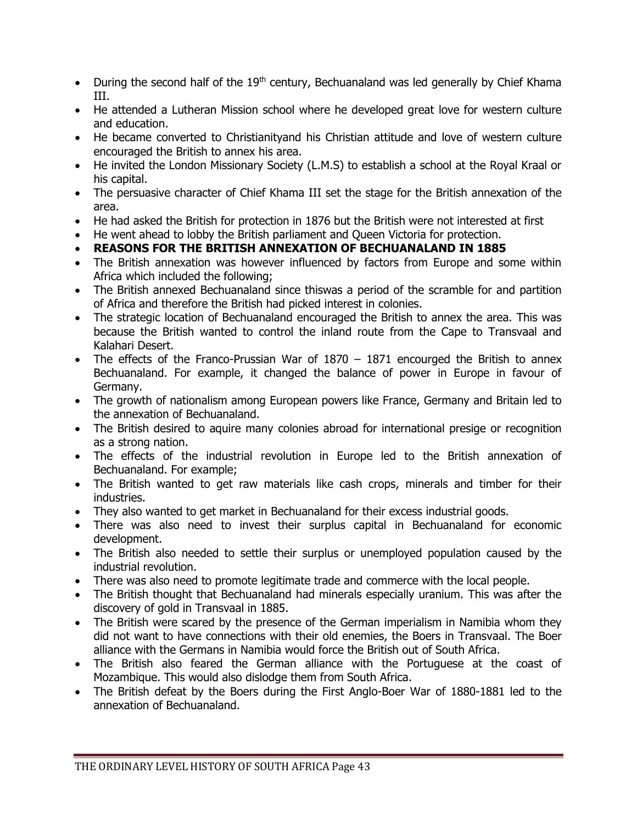- During the second half of the 19<sup>th</sup> century, Bechuanaland was led generally by Chief Khama III.
- He attended a Lutheran Mission school where he developed great love for western culture and education.
- He became converted to Christianityand his Christian attitude and love of western culture encouraged the British to annex his area.
- He invited the London Missionary Society (L.M.S) to establish a school at the Royal Kraal or his capital.
- The persuasive character of Chief Khama III set the stage for the British annexation of the area.
- He had asked the British for protection in 1876 but the British were not interested at first
- He went ahead to lobby the British parliament and Queen Victoria for protection.
- **REASONS FOR THE BRITISH ANNEXATION OF BECHUANALAND IN 1885**
- The British annexation was however influenced by factors from Europe and some within Africa which included the following;
- The British annexed Bechuanaland since thiswas a period of the scramble for and partition of Africa and therefore the British had picked interest in colonies.
- The strategic location of Bechuanaland encouraged the British to annex the area. This was because the British wanted to control the inland route from the Cape to Transvaal and Kalahari Desert.
- The effects of the Franco-Prussian War of 1870 1871 encourged the British to annex Bechuanaland. For example, it changed the balance of power in Europe in favour of Germany.
- The growth of nationalism among European powers like France, Germany and Britain led to the annexation of Bechuanaland.
- The British desired to aquire many colonies abroad for international presige or recognition as a strong nation.
- The effects of the industrial revolution in Europe led to the British annexation of Bechuanaland. For example;
- The British wanted to get raw materials like cash crops, minerals and timber for their industries.
- They also wanted to get market in Bechuanaland for their excess industrial goods.
- There was also need to invest their surplus capital in Bechuanaland for economic development.
- The British also needed to settle their surplus or unemployed population caused by the industrial revolution.
- There was also need to promote legitimate trade and commerce with the local people.
- The British thought that Bechuanaland had minerals especially uranium. This was after the discovery of gold in Transvaal in 1885.
- The British were scared by the presence of the German imperialism in Namibia whom they did not want to have connections with their old enemies, the Boers in Transvaal. The Boer alliance with the Germans in Namibia would force the British out of South Africa.
- The British also feared the German alliance with the Portuguese at the coast of Mozambique. This would also dislodge them from South Africa.
- The British defeat by the Boers during the First Anglo-Boer War of 1880-1881 led to the annexation of Bechuanaland.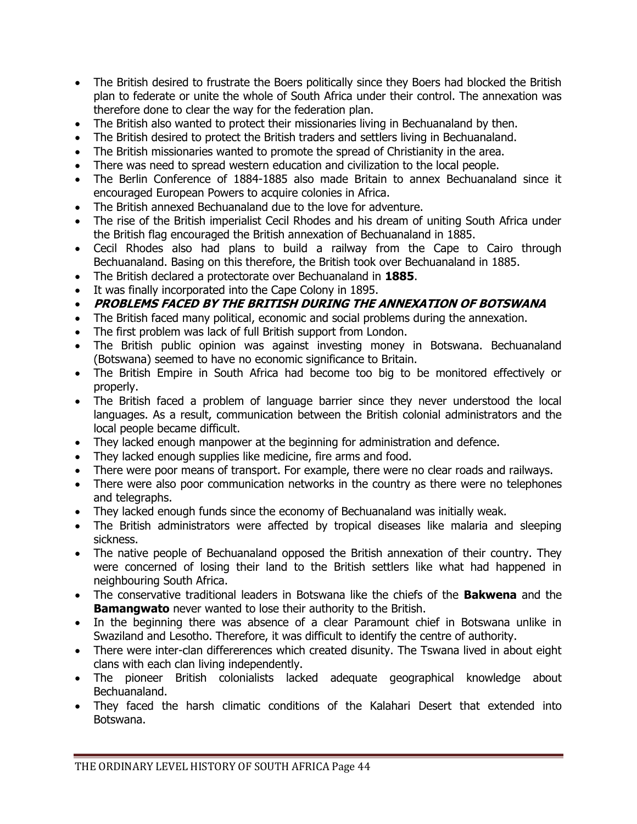- The British desired to frustrate the Boers politically since they Boers had blocked the British plan to federate or unite the whole of South Africa under their control. The annexation was therefore done to clear the way for the federation plan.
- The British also wanted to protect their missionaries living in Bechuanaland by then.
- The British desired to protect the British traders and settlers living in Bechuanaland.
- The British missionaries wanted to promote the spread of Christianity in the area.
- There was need to spread western education and civilization to the local people.
- The Berlin Conference of 1884-1885 also made Britain to annex Bechuanaland since it encouraged European Powers to acquire colonies in Africa.
- The British annexed Bechuanaland due to the love for adventure.
- The rise of the British imperialist Cecil Rhodes and his dream of uniting South Africa under the British flag encouraged the British annexation of Bechuanaland in 1885.
- Cecil Rhodes also had plans to build a railway from the Cape to Cairo through Bechuanaland. Basing on this therefore, the British took over Bechuanaland in 1885.
- The British declared a protectorate over Bechuanaland in **1885**.
- It was finally incorporated into the Cape Colony in 1895.
- **PROBLEMS FACED BY THE BRITISH DURING THE ANNEXATION OF BOTSWANA**
- The British faced many political, economic and social problems during the annexation.
- The first problem was lack of full British support from London.
- The British public opinion was against investing money in Botswana. Bechuanaland (Botswana) seemed to have no economic significance to Britain.
- The British Empire in South Africa had become too big to be monitored effectively or properly.
- The British faced a problem of language barrier since they never understood the local languages. As a result, communication between the British colonial administrators and the local people became difficult.
- They lacked enough manpower at the beginning for administration and defence.
- They lacked enough supplies like medicine, fire arms and food.
- There were poor means of transport. For example, there were no clear roads and railways.
- There were also poor communication networks in the country as there were no telephones and telegraphs.
- They lacked enough funds since the economy of Bechuanaland was initially weak.
- The British administrators were affected by tropical diseases like malaria and sleeping sickness.
- The native people of Bechuanaland opposed the British annexation of their country. They were concerned of losing their land to the British settlers like what had happened in neighbouring South Africa.
- The conservative traditional leaders in Botswana like the chiefs of the **Bakwena** and the **Bamangwato** never wanted to lose their authority to the British.
- In the beginning there was absence of a clear Paramount chief in Botswana unlike in Swaziland and Lesotho. Therefore, it was difficult to identify the centre of authority.
- There were inter-clan differerences which created disunity. The Tswana lived in about eight clans with each clan living independently.
- The pioneer British colonialists lacked adequate geographical knowledge about Bechuanaland.
- They faced the harsh climatic conditions of the Kalahari Desert that extended into Botswana.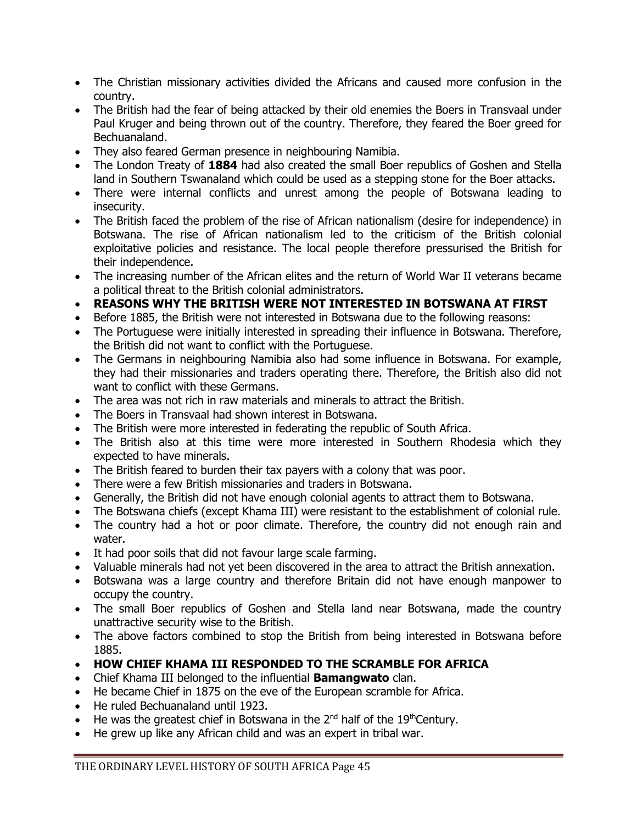- The Christian missionary activities divided the Africans and caused more confusion in the country.
- The British had the fear of being attacked by their old enemies the Boers in Transvaal under Paul Kruger and being thrown out of the country. Therefore, they feared the Boer greed for Bechuanaland.
- They also feared German presence in neighbouring Namibia.
- The London Treaty of **1884** had also created the small Boer republics of Goshen and Stella land in Southern Tswanaland which could be used as a stepping stone for the Boer attacks.
- There were internal conflicts and unrest among the people of Botswana leading to insecurity.
- The British faced the problem of the rise of African nationalism (desire for independence) in Botswana. The rise of African nationalism led to the criticism of the British colonial exploitative policies and resistance. The local people therefore pressurised the British for their independence.
- The increasing number of the African elites and the return of World War II veterans became a political threat to the British colonial administrators.
- **REASONS WHY THE BRITISH WERE NOT INTERESTED IN BOTSWANA AT FIRST**
- Before 1885, the British were not interested in Botswana due to the following reasons:
- The Portuguese were initially interested in spreading their influence in Botswana. Therefore, the British did not want to conflict with the Portuguese.
- The Germans in neighbouring Namibia also had some influence in Botswana. For example, they had their missionaries and traders operating there. Therefore, the British also did not want to conflict with these Germans.
- The area was not rich in raw materials and minerals to attract the British.
- The Boers in Transvaal had shown interest in Botswana.
- The British were more interested in federating the republic of South Africa.
- The British also at this time were more interested in Southern Rhodesia which they expected to have minerals.
- The British feared to burden their tax payers with a colony that was poor.
- There were a few British missionaries and traders in Botswana.
- Generally, the British did not have enough colonial agents to attract them to Botswana.
- The Botswana chiefs (except Khama III) were resistant to the establishment of colonial rule.
- The country had a hot or poor climate. Therefore, the country did not enough rain and water.
- It had poor soils that did not favour large scale farming.
- Valuable minerals had not yet been discovered in the area to attract the British annexation.
- Botswana was a large country and therefore Britain did not have enough manpower to occupy the country.
- The small Boer republics of Goshen and Stella land near Botswana, made the country unattractive security wise to the British.
- The above factors combined to stop the British from being interested in Botswana before 1885.
- **HOW CHIEF KHAMA III RESPONDED TO THE SCRAMBLE FOR AFRICA**
- Chief Khama III belonged to the influential **Bamangwato** clan.
- He became Chief in 1875 on the eve of the European scramble for Africa.
- He ruled Bechuanaland until 1923.
- $\bullet$  He was the greatest chief in Botswana in the 2<sup>nd</sup> half of the 19<sup>th</sup>Century.
- He grew up like any African child and was an expert in tribal war.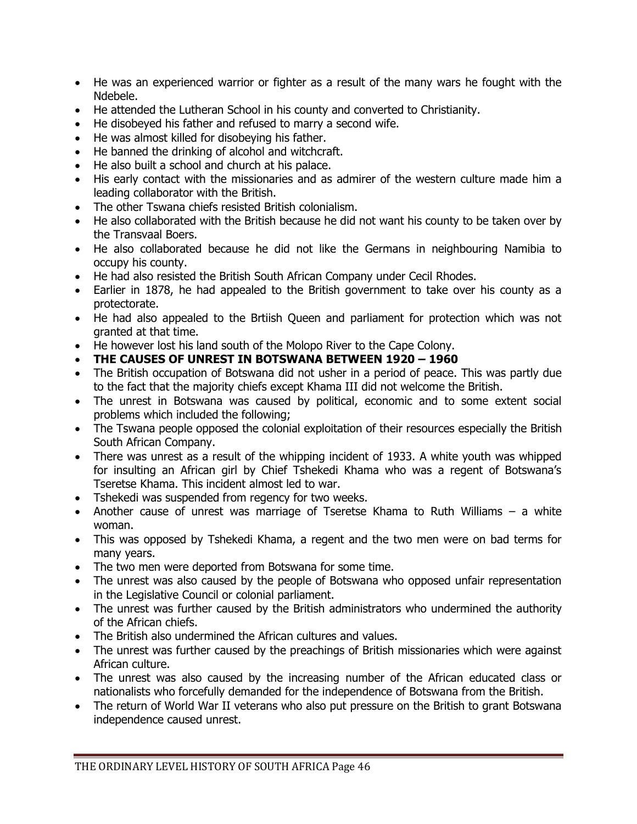- He was an experienced warrior or fighter as a result of the many wars he fought with the Ndebele.
- He attended the Lutheran School in his county and converted to Christianity.
- He disobeyed his father and refused to marry a second wife.
- He was almost killed for disobeying his father.
- He banned the drinking of alcohol and witchcraft.
- He also built a school and church at his palace.
- His early contact with the missionaries and as admirer of the western culture made him a leading collaborator with the British.
- The other Tswana chiefs resisted British colonialism.
- He also collaborated with the British because he did not want his county to be taken over by the Transvaal Boers.
- He also collaborated because he did not like the Germans in neighbouring Namibia to occupy his county.
- He had also resisted the British South African Company under Cecil Rhodes.
- Earlier in 1878, he had appealed to the British government to take over his county as a protectorate.
- He had also appealed to the Brtiish Queen and parliament for protection which was not granted at that time.
- He however lost his land south of the Molopo River to the Cape Colony.
- **THE CAUSES OF UNREST IN BOTSWANA BETWEEN 1920 – 1960**
- The British occupation of Botswana did not usher in a period of peace. This was partly due to the fact that the majority chiefs except Khama III did not welcome the British.
- The unrest in Botswana was caused by political, economic and to some extent social problems which included the following;
- The Tswana people opposed the colonial exploitation of their resources especially the British South African Company.
- There was unrest as a result of the whipping incident of 1933. A white youth was whipped for insulting an African girl by Chief Tshekedi Khama who was a regent of Botswana's Tseretse Khama. This incident almost led to war.
- Tshekedi was suspended from regency for two weeks.
- Another cause of unrest was marriage of Tseretse Khama to Ruth Williams a white woman.
- This was opposed by Tshekedi Khama, a regent and the two men were on bad terms for many years.
- The two men were deported from Botswana for some time.
- The unrest was also caused by the people of Botswana who opposed unfair representation in the Legislative Council or colonial parliament.
- The unrest was further caused by the British administrators who undermined the authority of the African chiefs.
- The British also undermined the African cultures and values.
- The unrest was further caused by the preachings of British missionaries which were against African culture.
- The unrest was also caused by the increasing number of the African educated class or nationalists who forcefully demanded for the independence of Botswana from the British.
- The return of World War II veterans who also put pressure on the British to grant Botswana independence caused unrest.